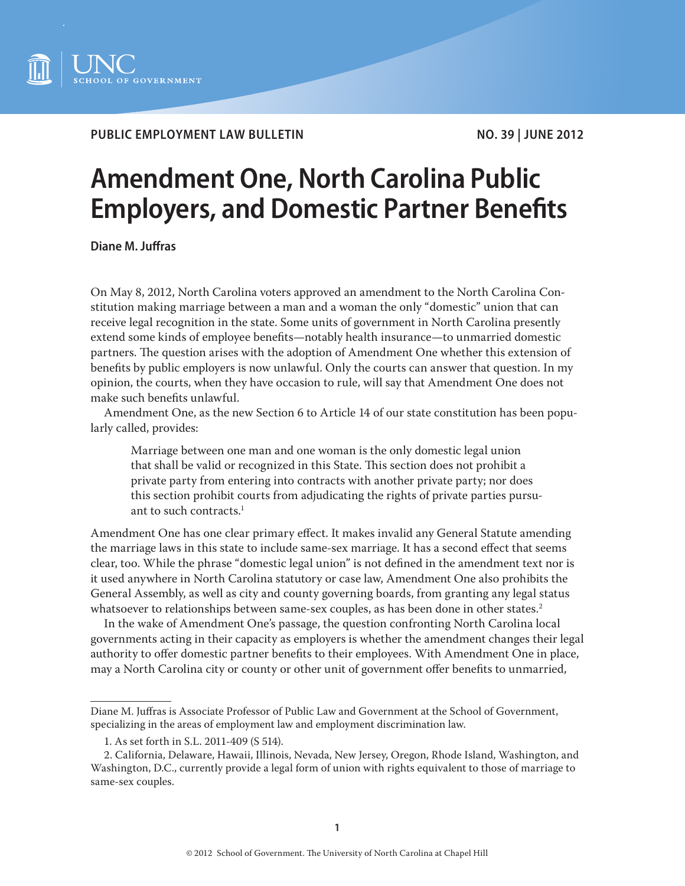

# **PUBLIC EMPLOYMENT LAW BULLETIN** NO. 39 | JUNE 2012

# **Amendment One, North Carolina Public Employers, and Domestic Partner Benefits**

**Diane M. Juffras**

On May 8, 2012, North Carolina voters approved an amendment to the North Carolina Constitution making marriage between a man and a woman the only "domestic" union that can receive legal recognition in the state. Some units of government in North Carolina presently extend some kinds of employee benefits—notably health insurance—to unmarried domestic partners. The question arises with the adoption of Amendment One whether this extension of benefits by public employers is now unlawful. Only the courts can answer that question. In my opinion, the courts, when they have occasion to rule, will say that Amendment One does not make such benefits unlawful.

Amendment One, as the new Section 6 to Article 14 of our state constitution has been popularly called, provides:

Marriage between one man and one woman is the only domestic legal union that shall be valid or recognized in this State. This section does not prohibit a private party from entering into contracts with another private party; nor does this section prohibit courts from adjudicating the rights of private parties pursuant to such contracts.<sup>1</sup>

Amendment One has one clear primary effect. It makes invalid any General Statute amending the marriage laws in this state to include same-sex marriage. It has a second effect that seems clear, too. While the phrase "domestic legal union" is not defined in the amendment text nor is it used anywhere in North Carolina statutory or case law, Amendment One also prohibits the General Assembly, as well as city and county governing boards, from granting any legal status whatsoever to relationships between same-sex couples, as has been done in other states.<sup>2</sup>

In the wake of Amendment One's passage, the question confronting North Carolina local governments acting in their capacity as employers is whether the amendment changes their legal authority to offer domestic partner benefits to their employees. With Amendment One in place, may a North Carolina city or county or other unit of government offer benefits to unmarried,

Diane M. Juffras is Associate Professor of Public Law and Government at the School of Government, specializing in the areas of employment law and employment discrimination law.

<sup>1.</sup> As set forth in S.L. 2011-409 (S 514).

<sup>2.</sup> California, Delaware, Hawaii, Illinois, Nevada, New Jersey, Oregon, Rhode Island, Washington, and Washington, D.C., currently provide a legal form of union with rights equivalent to those of marriage to same-sex couples.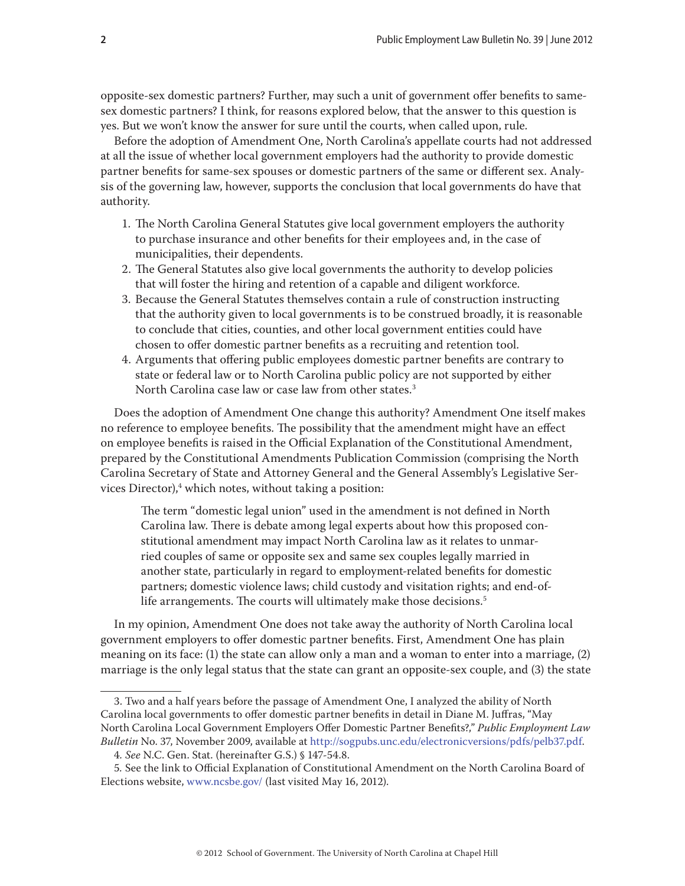opposite-sex domestic partners? Further, may such a unit of government offer benefits to samesex domestic partners? I think, for reasons explored below, that the answer to this question is yes. But we won't know the answer for sure until the courts, when called upon, rule.

Before the adoption of Amendment One, North Carolina's appellate courts had not addressed at all the issue of whether local government employers had the authority to provide domestic partner benefits for same-sex spouses or domestic partners of the same or different sex. Analysis of the governing law, however, supports the conclusion that local governments do have that authority.

- 1. The North Carolina General Statutes give local government employers the authority to purchase insurance and other benefits for their employees and, in the case of municipalities, their dependents.
- 2. The General Statutes also give local governments the authority to develop policies that will foster the hiring and retention of a capable and diligent workforce.
- 3. Because the General Statutes themselves contain a rule of construction instructing that the authority given to local governments is to be construed broadly, it is reasonable to conclude that cities, counties, and other local government entities could have chosen to offer domestic partner benefits as a recruiting and retention tool.
- 4. Arguments that offering public employees domestic partner benefits are contrary to state or federal law or to North Carolina public policy are not supported by either North Carolina case law or case law from other states.<sup>3</sup>

Does the adoption of Amendment One change this authority? Amendment One itself makes no reference to employee benefits. The possibility that the amendment might have an effect on employee benefits is raised in the Official Explanation of the Constitutional Amendment, prepared by the Constitutional Amendments Publication Commission (comprising the North Carolina Secretary of State and Attorney General and the General Assembly's Legislative Services Director),<sup>4</sup> which notes, without taking a position:

The term "domestic legal union" used in the amendment is not defined in North Carolina law. There is debate among legal experts about how this proposed constitutional amendment may impact North Carolina law as it relates to unmarried couples of same or opposite sex and same sex couples legally married in another state, particularly in regard to employment-related benefits for domestic partners; domestic violence laws; child custody and visitation rights; and end-oflife arrangements. The courts will ultimately make those decisions.<sup>5</sup>

In my opinion, Amendment One does not take away the authority of North Carolina local government employers to offer domestic partner benefits. First, Amendment One has plain meaning on its face: (1) the state can allow only a man and a woman to enter into a marriage, (2) marriage is the only legal status that the state can grant an opposite-sex couple, and (3) the state

<sup>3.</sup> Two and a half years before the passage of Amendment One, I analyzed the ability of North Carolina local governments to offer domestic partner benefits in detail in Diane M. Juffras, "May North Carolina Local Government Employers Offer Domestic Partner Benefits?," *Public Employment Law Bulletin* No. 37, November 2009, available at<http://sogpubs.unc.edu/electronicversions/pdfs/pelb37.pdf>.

<sup>4</sup>*. See* N.C. Gen. Stat. (hereinafter G.S.) § 147-54.8.

<sup>5</sup>*.* See the link to Official Explanation of Constitutional Amendment on the North Carolina Board of Elections website, [www.ncsbe.gov/](http://www.ncsbe.gov/) (last visited May 16, 2012).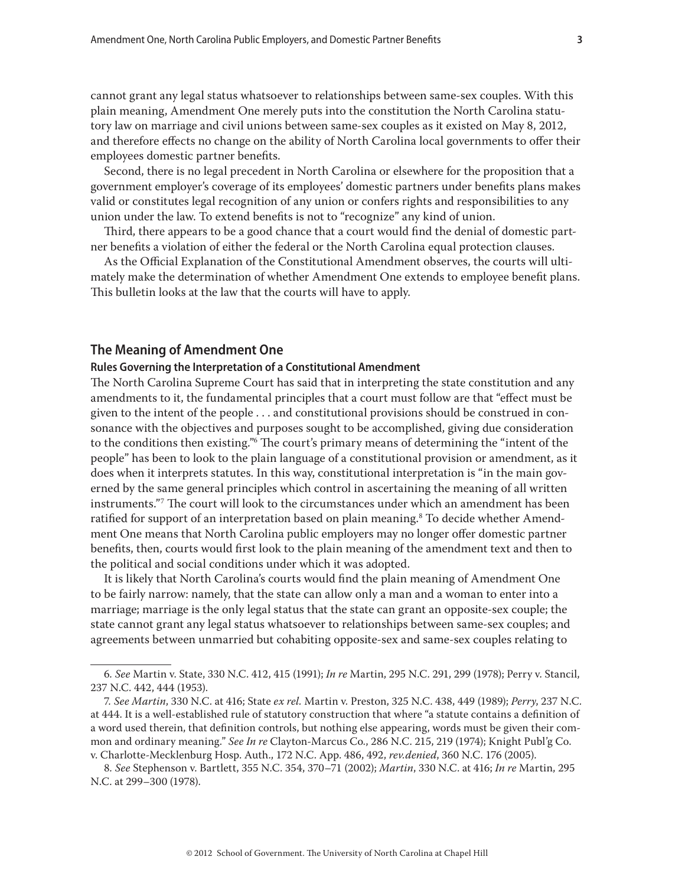cannot grant any legal status whatsoever to relationships between same-sex couples. With this plain meaning, Amendment One merely puts into the constitution the North Carolina statutory law on marriage and civil unions between same-sex couples as it existed on May 8, 2012, and therefore effects no change on the ability of North Carolina local governments to offer their employees domestic partner benefits.

Second, there is no legal precedent in North Carolina or elsewhere for the proposition that a government employer's coverage of its employees' domestic partners under benefits plans makes valid or constitutes legal recognition of any union or confers rights and responsibilities to any union under the law. To extend benefits is not to "recognize" any kind of union.

Third, there appears to be a good chance that a court would find the denial of domestic partner benefits a violation of either the federal or the North Carolina equal protection clauses.

As the Official Explanation of the Constitutional Amendment observes, the courts will ultimately make the determination of whether Amendment One extends to employee benefit plans. This bulletin looks at the law that the courts will have to apply.

# **The Meaning of Amendment One**

# **Rules Governing the Interpretation of a Constitutional Amendment**

The North Carolina Supreme Court has said that in interpreting the state constitution and any amendments to it, the fundamental principles that a court must follow are that "effect must be given to the intent of the people . . . and constitutional provisions should be construed in consonance with the objectives and purposes sought to be accomplished, giving due consideration to the conditions then existing."6 The court's primary means of determining the "intent of the people" has been to look to the plain language of a constitutional provision or amendment, as it does when it interprets statutes. In this way, constitutional interpretation is "in the main governed by the same general principles which control in ascertaining the meaning of all written instruments."7 The court will look to the circumstances under which an amendment has been ratified for support of an interpretation based on plain meaning.<sup>8</sup> To decide whether Amendment One means that North Carolina public employers may no longer offer domestic partner benefits, then, courts would first look to the plain meaning of the amendment text and then to the political and social conditions under which it was adopted.

It is likely that North Carolina's courts would find the plain meaning of Amendment One to be fairly narrow: namely, that the state can allow only a man and a woman to enter into a marriage; marriage is the only legal status that the state can grant an opposite-sex couple; the state cannot grant any legal status whatsoever to relationships between same-sex couples; and agreements between unmarried but cohabiting opposite-sex and same-sex couples relating to

<sup>6</sup>*. See* Martin v. State, 330 N.C. 412, 415 (1991); *In re* Martin, 295 N.C. 291, 299 (1978); Perry v. Stancil, 237 N.C. 442, 444 (1953).

<sup>7</sup>*. See Martin*, 330 N.C. at 416; State *ex rel.* Martin v. Preston, 325 N.C. 438, 449 (1989); *Perry*, 237 N.C. at 444. It is a well-established rule of statutory construction that where "a statute contains a definition of a word used therein, that definition controls, but nothing else appearing, words must be given their common and ordinary meaning." *See In re* Clayton-Marcus Co*.*, 286 N.C. 215, 219 (1974); Knight Publ'g Co. v. Charlotte-Mecklenburg Hosp. Auth., 172 N.C. App. 486, 492, *rev.denied*, 360 N.C. 176 (2005).

<sup>8</sup>*. See* Stephenson v. Bartlett, 355 N.C. 354, 370–71 (2002); *Martin*, 330 N.C. at 416; *In re* Martin, 295 N.C. at 299–300 (1978).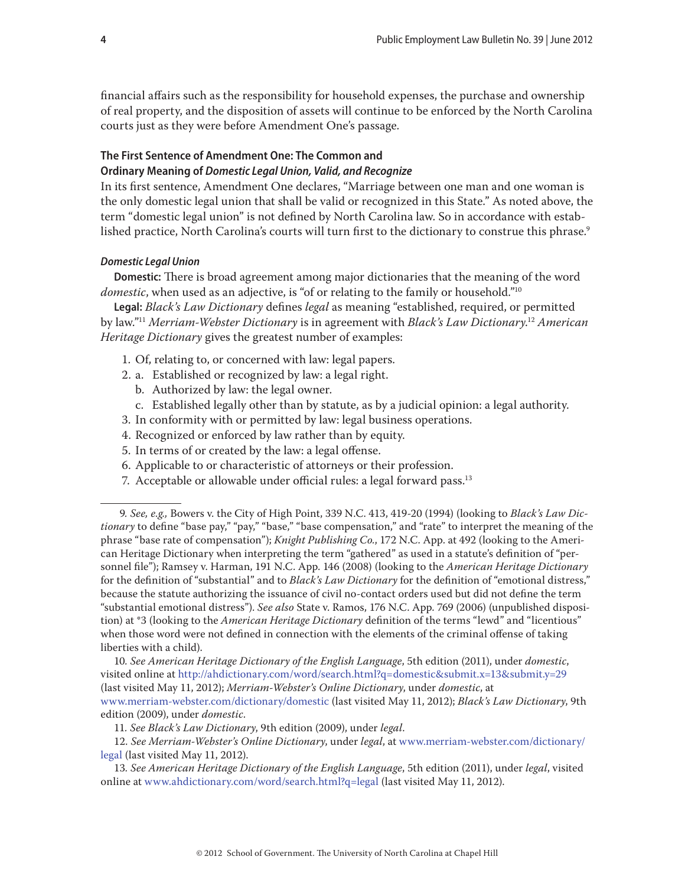financial affairs such as the responsibility for household expenses, the purchase and ownership of real property, and the disposition of assets will continue to be enforced by the North Carolina courts just as they were before Amendment One's passage.

# **The First Sentence of Amendment One: The Common and Ordinary Meaning of** *Domestic Legal Union, Valid, and Recognize*

In its first sentence, Amendment One declares, "Marriage between one man and one woman is the only domestic legal union that shall be valid or recognized in this State." As noted above, the term "domestic legal union" is not defined by North Carolina law. So in accordance with established practice, North Carolina's courts will turn first to the dictionary to construe this phrase.<sup>9</sup>

### *Domestic Legal Union*

**Domestic:** There is broad agreement among major dictionaries that the meaning of the word *domestic*, when used as an adjective, is "of or relating to the family or household."10

**Legal:** *Black's Law Dictionary* defines *legal* as meaning "established, required, or permitted by law."11 *Merriam-Webster Dictionary* is in agreement with *Black's Law Dictionary*. <sup>12</sup> *American Heritage Dictionary* gives the greatest number of examples:

- 1. Of, relating to, or concerned with law: legal papers.
- 2. a. Established or recognized by law: a legal right.
	- b. Authorized by law: the legal owner.
	- c. Established legally other than by statute, as by a judicial opinion: a legal authority.
- 3. In conformity with or permitted by law: legal business operations.
- 4. Recognized or enforced by law rather than by equity.
- 5. In terms of or created by the law: a legal offense.
- 6. Applicable to or characteristic of attorneys or their profession.
- 7. Acceptable or allowable under official rules: a legal forward pass.13

10*. See American Heritage Dictionary of the English Language*, 5th edition (2011), under *domestic*, visited online at<http://ahdictionary.com/word/search.html?q=domestic&submit.x=13&submit.y=29> (last visited May 11, 2012); *Merriam-Webster's Online Dictionary*, under *domestic*, at [www.merriam-webster.com/dictionary/domestic](http://www.merriam-webster.com/dictionary/domestic) (last visited May 11, 2012); *Black's Law Dictionary*, 9th edition (2009), under *domestic*.

<sup>9</sup>*. See, e.g.,* Bowers v. the City of High Point, 339 N.C. 413, 419-20 (1994) (looking to *Black's Law Dictionary* to define "base pay," "pay," "base," "base compensation," and "rate" to interpret the meaning of the phrase "base rate of compensation"); *Knight Publishing Co.*, 172 N.C. App. at 492 (looking to the American Heritage Dictionary when interpreting the term "gathered" as used in a statute's definition of "personnel file"); Ramsey v. Harman, 191 N.C. App. 146 (2008) (looking to the *American Heritage Dictionary* for the definition of "substantial" and to *Black's Law Dictionary* for the definition of "emotional distress," because the statute authorizing the issuance of civil no-contact orders used but did not define the term "substantial emotional distress"). *See also* State v. Ramos, 176 N.C. App. 769 (2006) (unpublished disposition) at \*3 (looking to the *American Heritage Dictionary* definition of the terms "lewd" and "licentious" when those word were not defined in connection with the elements of the criminal offense of taking liberties with a child).

<sup>11</sup>*. See Black's Law Dictionary*, 9th edition (2009), under *legal*.

<sup>12</sup>*. See Merriam-Webster's Online Dictionary*, under *legal*, at [www.merriam-webster.com/dictionary/](http://www.merriam-webster.com/dictionary/legal) [legal](http://www.merriam-webster.com/dictionary/legal) (last visited May 11, 2012).

<sup>13</sup>*. See American Heritage Dictionary of the English Language*, 5th edition (2011), under *legal*, visited online at [www.ahdictionary.com/word/search.html?q=legal](http://www.ahdictionary.com/word/search.html?q=legal) (last visited May 11, 2012).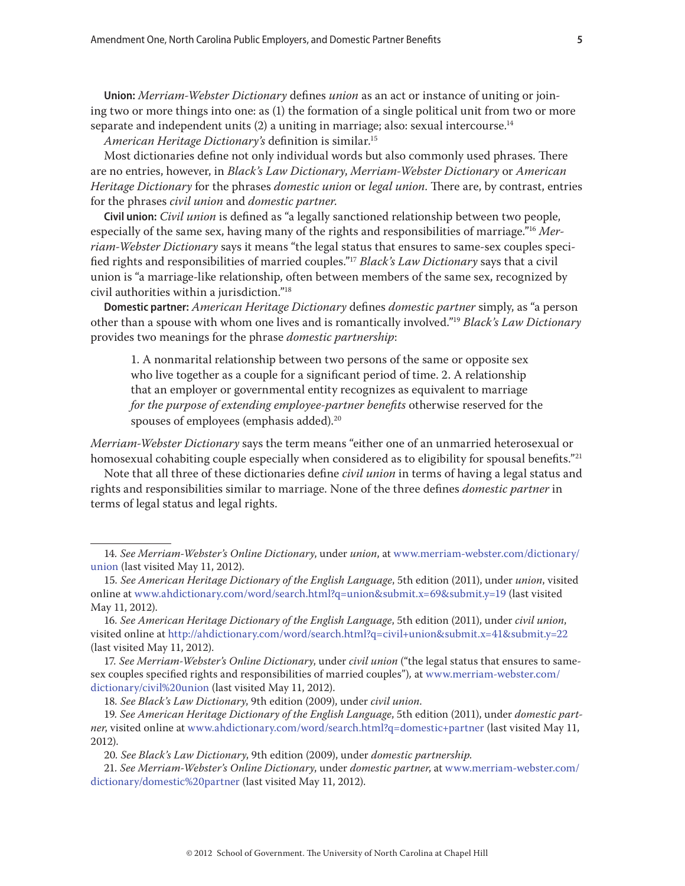**Union:** *Merriam-Webster Dictionary* defines *union* as an act or instance of uniting or joining two or more things into one: as (1) the formation of a single political unit from two or more separate and independent units  $(2)$  a uniting in marriage; also: sexual intercourse.<sup>14</sup>

*American Heritage Dictionary's* definition is similar.15

Most dictionaries define not only individual words but also commonly used phrases. There are no entries, however, in *Black's Law Dictionary*, *Merriam-Webster Dictionary* or *American Heritage Dictionary* for the phrases *domestic union* or *legal union*. There are, by contrast, entries for the phrases *civil union* and *domestic partner*.

**Civil union:** *Civil union* is defined as "a legally sanctioned relationship between two people, especially of the same sex, having many of the rights and responsibilities of marriage."16 *Merriam-Webster Dictionary* says it means "the legal status that ensures to same-sex couples specified rights and responsibilities of married couples."17 *Black's Law Dictionary* says that a civil union is "a marriage-like relationship, often between members of the same sex, recognized by civil authorities within a jurisdiction."18

**Domestic partner:** *American Heritage Dictionary* defines *domestic partner* simply, as "a person other than a spouse with whom one lives and is romantically involved."19 *Black's Law Dictionary* provides two meanings for the phrase *domestic partnership*:

1. A nonmarital relationship between two persons of the same or opposite sex who live together as a couple for a significant period of time. 2. A relationship that an employer or governmental entity recognizes as equivalent to marriage *for the purpose of extending employee-partner benefits* otherwise reserved for the spouses of employees (emphasis added).20

*Merriam-Webster Dictionary* says the term means "either one of an unmarried heterosexual or homosexual cohabiting couple especially when considered as to eligibility for spousal benefits."<sup>21</sup>

Note that all three of these dictionaries define *civil union* in terms of having a legal status and rights and responsibilities similar to marriage. None of the three defines *domestic partner* in terms of legal status and legal rights.

<sup>14</sup>*. See Merriam-Webster's Online Dictionary*, under *union*, at [www.merriam-webster.com/dictionary/](http://www.merriam-webster.com/dictionary/union) [union](http://www.merriam-webster.com/dictionary/union) (last visited May 11, 2012).

<sup>15</sup>*. See American Heritage Dictionary of the English Language*, 5th edition (2011), under *union*, visited online at [www.ahdictionary.com/word/search.html?q=union&submit.x=69&submit.y=19](http://www.ahdictionary.com/word/search.html?q=union&submit.x=69&submit.y=19) (last visited May 11, 2012).

<sup>16</sup>*. See American Heritage Dictionary of the English Language*, 5th edition (2011), under *civil union*, visited online at<http://ahdictionary.com/word/search.html?q=civil+union&submit.x=41&submit.y=22> (last visited May 11, 2012).

<sup>17</sup>*. See Merriam-Webster's Online Dictionary*, under *civil union* ("the legal status that ensures to samesex couples specified rights and responsibilities of married couples")*,* at [www.merriam-webster.com/](http://www.merriam-webster.com/dictionary/civil%20union) [dictionary/civil%20union](http://www.merriam-webster.com/dictionary/civil%20union) (last visited May 11, 2012).

<sup>18</sup>*. See Black's Law Dictionary*, 9th edition (2009), under *civil union*.

<sup>19</sup>*. See American Heritage Dictionary of the English Language*, 5th edition (2011), under *domestic partner*, visited online at [www.ahdictionary.com/word/search.html?q=domestic+partner](http://www.ahdictionary.com/word/search.html?q=domestic+partner) (last visited May 11, 2012).

<sup>20</sup>*. See Black's Law Dictionary*, 9th edition (2009), under *domestic partnership*.

<sup>21</sup>*. See Merriam-Webster's Online Dictionary*, under *domestic partner*, at [www.merriam-webster.com/](http://www.merriam-webster.com/dictionary/civil%20union) [dictionary/domestic%20partner](http://www.merriam-webster.com/dictionary/civil%20union) (last visited May 11, 2012).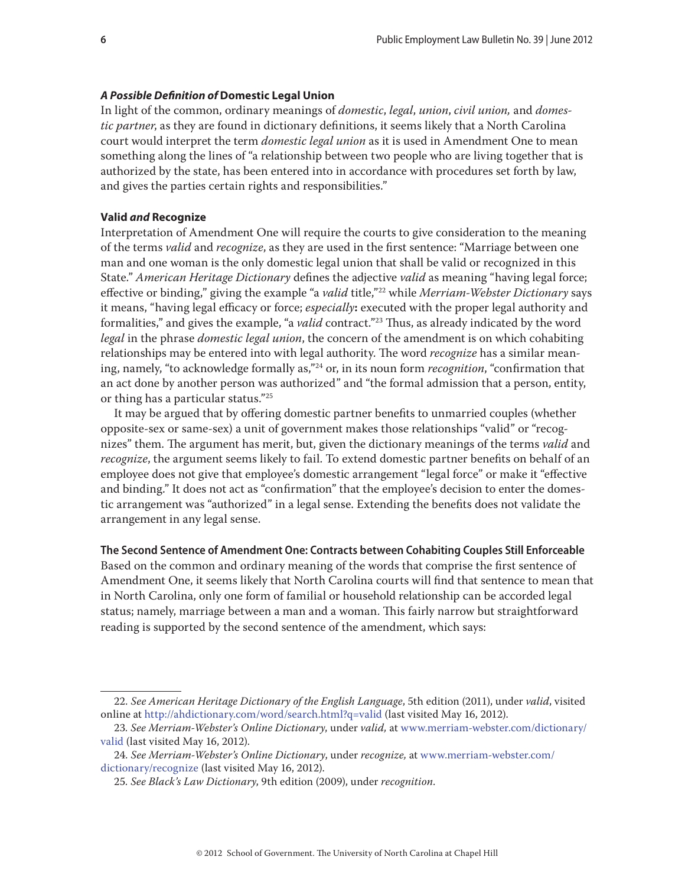## *A Possible Definition of***Domestic Legal Union**

In light of the common, ordinary meanings of *domestic*, *legal*, *union*, *civil union,* and *domestic partner*, as they are found in dictionary definitions, it seems likely that a North Carolina court would interpret the term *domestic legal union* as it is used in Amendment One to mean something along the lines of "a relationship between two people who are living together that is authorized by the state, has been entered into in accordance with procedures set forth by law, and gives the parties certain rights and responsibilities."

#### **Valid** *and* **Recognize**

Interpretation of Amendment One will require the courts to give consideration to the meaning of the terms *valid* and *recognize*, as they are used in the first sentence: "Marriage between one man and one woman is the only domestic legal union that shall be valid or recognized in this State." *American Heritage Dictionary* defines the adjective *valid* as meaning "having legal force; effective or binding," giving the example "a *valid* title,"22 while *Merriam-Webster Dictionary* says it means, "having legal efficacy or force; *especially***:** executed with the proper legal authority and formalities," and gives the example, "a *valid* contract."23 Thus, as already indicated by the word *legal* in the phrase *domestic legal union*, the concern of the amendment is on which cohabiting relationships may be entered into with legal authority. The word *recognize* has a similar meaning, namely, "to acknowledge formally as,"24 or, in its noun form *recognition*, "confirmation that an act done by another person was authorized" and "the formal admission that a person, entity, or thing has a particular status."25

It may be argued that by offering domestic partner benefits to unmarried couples (whether opposite-sex or same-sex) a unit of government makes those relationships "valid" or "recognizes" them. The argument has merit, but, given the dictionary meanings of the terms *valid* and *recognize*, the argument seems likely to fail. To extend domestic partner benefits on behalf of an employee does not give that employee's domestic arrangement "legal force" or make it "effective and binding." It does not act as "confirmation" that the employee's decision to enter the domestic arrangement was "authorized" in a legal sense. Extending the benefits does not validate the arrangement in any legal sense.

## **The Second Sentence of Amendment One: Contracts between Cohabiting Couples Still Enforceable**

Based on the common and ordinary meaning of the words that comprise the first sentence of Amendment One, it seems likely that North Carolina courts will find that sentence to mean that in North Carolina, only one form of familial or household relationship can be accorded legal status; namely, marriage between a man and a woman. This fairly narrow but straightforward reading is supported by the second sentence of the amendment, which says:

<sup>22</sup>*. See American Heritage Dictionary of the English Language*, 5th edition (2011), under *valid*, visited online at<http://ahdictionary.com/word/search.html?q=valid>(last visited May 16, 2012).

<sup>23</sup>*. See Merriam-Webster's Online Dictionary*, under *valid,* at [www.merriam-webster.com/dictionary/](http://www.merriam-webster.com/dictionary/valid) [valid](http://www.merriam-webster.com/dictionary/valid) (last visited May 16, 2012).

<sup>24</sup>*. See Merriam-Webster's Online Dictionary*, under *recognize,* at [www.merriam-webster.com/](http://www.merriam-webster.com/dictionary/recognize) [dictionary/recognize](http://www.merriam-webster.com/dictionary/recognize) (last visited May 16, 2012).

<sup>25</sup>*. See Black's Law Dictionary*, 9th edition (2009), under *recognition*.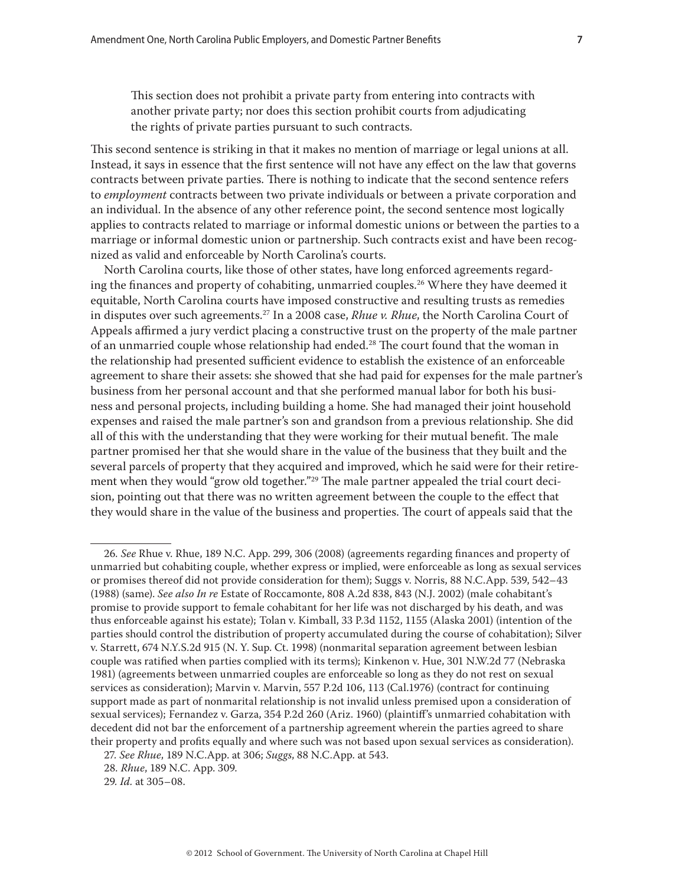This section does not prohibit a private party from entering into contracts with another private party; nor does this section prohibit courts from adjudicating the rights of private parties pursuant to such contracts.

This second sentence is striking in that it makes no mention of marriage or legal unions at all. Instead, it says in essence that the first sentence will not have any effect on the law that governs contracts between private parties. There is nothing to indicate that the second sentence refers to *employment* contracts between two private individuals or between a private corporation and an individual. In the absence of any other reference point, the second sentence most logically applies to contracts related to marriage or informal domestic unions or between the parties to a marriage or informal domestic union or partnership. Such contracts exist and have been recognized as valid and enforceable by North Carolina's courts.

North Carolina courts, like those of other states, have long enforced agreements regarding the finances and property of cohabiting, unmarried couples.<sup>26</sup> Where they have deemed it equitable, North Carolina courts have imposed constructive and resulting trusts as remedies in disputes over such agreements.27 In a 2008 case, *Rhue v. Rhue*, the North Carolina Court of Appeals affirmed a jury verdict placing a constructive trust on the property of the male partner of an unmarried couple whose relationship had ended.<sup>28</sup> The court found that the woman in the relationship had presented sufficient evidence to establish the existence of an enforceable agreement to share their assets: she showed that she had paid for expenses for the male partner's business from her personal account and that she performed manual labor for both his business and personal projects, including building a home. She had managed their joint household expenses and raised the male partner's son and grandson from a previous relationship. She did all of this with the understanding that they were working for their mutual benefit. The male partner promised her that she would share in the value of the business that they built and the several parcels of property that they acquired and improved, which he said were for their retirement when they would "grow old together."<sup>29</sup> The male partner appealed the trial court decision, pointing out that there was no written agreement between the couple to the effect that they would share in the value of the business and properties. The court of appeals said that the

<sup>26</sup>*. See* Rhue v. Rhue, 189 N.C. App. 299, 306 (2008) (agreements regarding finances and property of unmarried but cohabiting couple, whether express or implied, were enforceable as long as sexual services or promises thereof did not provide consideration for them); Suggs v. Norris, 88 N.C.App. 539, 542–43 (1988) (same). *See also In re* Estate of Roccamonte, 808 A.2d 838, 843 (N.J. 2002) (male cohabitant's promise to provide support to female cohabitant for her life was not discharged by his death, and was thus enforceable against his estate); Tolan v. Kimball, 33 P.3d 1152, 1155 (Alaska 2001) (intention of the parties should control the distribution of property accumulated during the course of cohabitation); Silver v. Starrett, 674 N.Y.S.2d 915 (N. Y. Sup. Ct. 1998) (nonmarital separation agreement between lesbian couple was ratified when parties complied with its terms); Kinkenon v. Hue, 301 N.W.2d 77 (Nebraska 1981) (agreements between unmarried couples are enforceable so long as they do not rest on sexual services as consideration); Marvin v. Marvin, 557 P.2d 106, 113 (Cal.1976) (contract for continuing support made as part of nonmarital relationship is not invalid unless premised upon a consideration of sexual services); Fernandez v. Garza, 354 P.2d 260 (Ariz. 1960) (plaintiff's unmarried cohabitation with decedent did not bar the enforcement of a partnership agreement wherein the parties agreed to share their property and profits equally and where such was not based upon sexual services as consideration).

<sup>27</sup>*. See Rhue*, 189 N.C.App. at 306; *Suggs*, 88 N.C.App. at 543.

<sup>28</sup>*. Rhue*, 189 N.C. App. 309.

<sup>29</sup>*. Id.* at 305–08.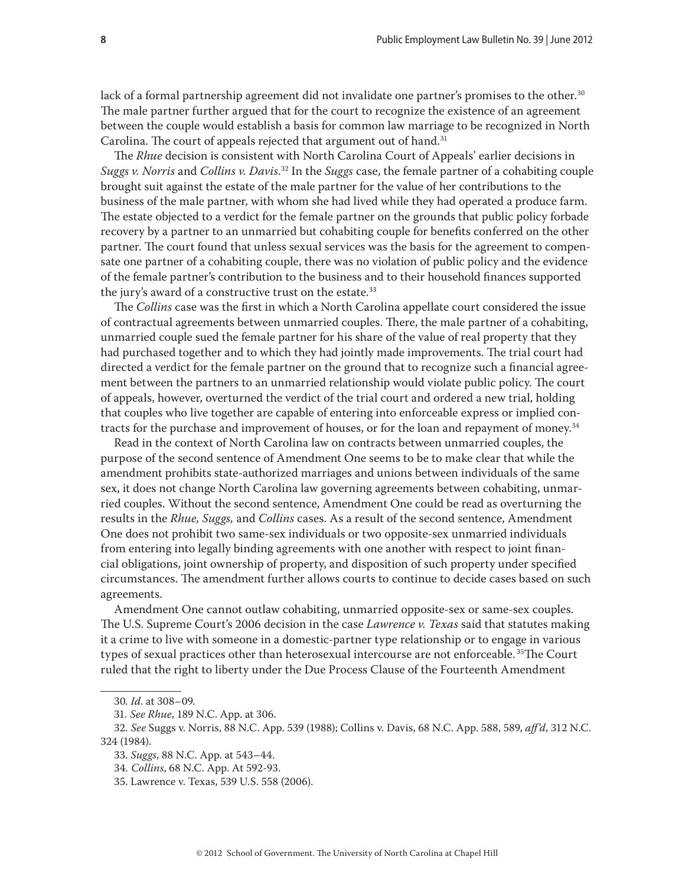lack of a formal partnership agreement did not invalidate one partner's promises to the other.<sup>30</sup> The male partner further argued that for the court to recognize the existence of an agreement between the couple would establish a basis for common law marriage to be recognized in North Carolina. The court of appeals rejected that argument out of hand.<sup>31</sup>

The *Rhue* decision is consistent with North Carolina Court of Appeals' earlier decisions in *Suggs v. Norris* and *Collins v. Davis*. 32 In the *Suggs* case, the female partner of a cohabiting couple brought suit against the estate of the male partner for the value of her contributions to the business of the male partner, with whom she had lived while they had operated a produce farm. The estate objected to a verdict for the female partner on the grounds that public policy forbade recovery by a partner to an unmarried but cohabiting couple for benefits conferred on the other partner. The court found that unless sexual services was the basis for the agreement to compensate one partner of a cohabiting couple, there was no violation of public policy and the evidence of the female partner's contribution to the business and to their household finances supported the jury's award of a constructive trust on the estate.<sup>33</sup>

The *Collins* case was the first in which a North Carolina appellate court considered the issue of contractual agreements between unmarried couples. There, the male partner of a cohabiting, unmarried couple sued the female partner for his share of the value of real property that they had purchased together and to which they had jointly made improvements. The trial court had directed a verdict for the female partner on the ground that to recognize such a financial agreement between the partners to an unmarried relationship would violate public policy. The court of appeals, however, overturned the verdict of the trial court and ordered a new trial, holding that couples who live together are capable of entering into enforceable express or implied contracts for the purchase and improvement of houses, or for the loan and repayment of money.<sup>34</sup>

Read in the context of North Carolina law on contracts between unmarried couples, the purpose of the second sentence of Amendment One seems to be to make clear that while the amendment prohibits state-authorized marriages and unions between individuals of the same sex, it does not change North Carolina law governing agreements between cohabiting, unmarried couples. Without the second sentence, Amendment One could be read as overturning the results in the *Rhue, Suggs,* and *Collins* cases. As a result of the second sentence, Amendment One does not prohibit two same-sex individuals or two opposite-sex unmarried individuals from entering into legally binding agreements with one another with respect to joint financial obligations, joint ownership of property, and disposition of such property under specified circumstances. The amendment further allows courts to continue to decide cases based on such agreements.

Amendment One cannot outlaw cohabiting, unmarried opposite-sex or same-sex couples. The U.S. Supreme Court's 2006 decision in the case *Lawrence v. Texas* said that statutes making it a crime to live with someone in a domestic-partner type relationship or to engage in various types of sexual practices other than heterosexual intercourse are not enforceable. 35The Court ruled that the right to liberty under the Due Process Clause of the Fourteenth Amendment

<sup>30</sup>*. Id*. at 308–09.

<sup>31</sup>*. See Rhue*, 189 N.C. App. at 306.

<sup>32</sup>*. See* Suggs v. Norris, 88 N.C. App. 539 (1988); Collins v. Davis, 68 N.C. App. 588, 589, *aff'd*, 312 N.C. 324 (1984).

<sup>33</sup>*. Suggs*, 88 N.C. App. at 543–44.

<sup>34</sup>*. Collins*, 68 N.C. App. At 592-93.

<sup>35.</sup> Lawrence v. Texas, 539 U.S. 558 (2006).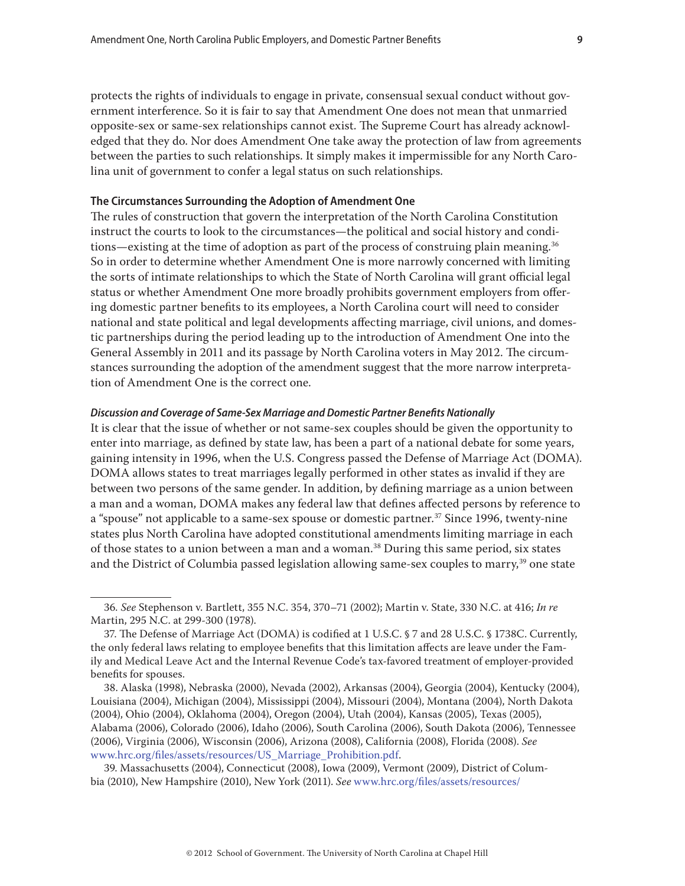protects the rights of individuals to engage in private, consensual sexual conduct without government interference. So it is fair to say that Amendment One does not mean that unmarried opposite-sex or same-sex relationships cannot exist. The Supreme Court has already acknowledged that they do. Nor does Amendment One take away the protection of law from agreements between the parties to such relationships. It simply makes it impermissible for any North Carolina unit of government to confer a legal status on such relationships.

#### **The Circumstances Surrounding the Adoption of Amendment One**

The rules of construction that govern the interpretation of the North Carolina Constitution instruct the courts to look to the circumstances—the political and social history and conditions—existing at the time of adoption as part of the process of construing plain meaning.<sup>36</sup> So in order to determine whether Amendment One is more narrowly concerned with limiting the sorts of intimate relationships to which the State of North Carolina will grant official legal status or whether Amendment One more broadly prohibits government employers from offering domestic partner benefits to its employees, a North Carolina court will need to consider national and state political and legal developments affecting marriage, civil unions, and domestic partnerships during the period leading up to the introduction of Amendment One into the General Assembly in 2011 and its passage by North Carolina voters in May 2012. The circumstances surrounding the adoption of the amendment suggest that the more narrow interpretation of Amendment One is the correct one.

#### *Discussion and Coverage of Same-Sex Marriage and Domestic Partner Benefits Nationally*

It is clear that the issue of whether or not same-sex couples should be given the opportunity to enter into marriage, as defined by state law, has been a part of a national debate for some years, gaining intensity in 1996, when the U.S. Congress passed the Defense of Marriage Act (DOMA). DOMA allows states to treat marriages legally performed in other states as invalid if they are between two persons of the same gender. In addition, by defining marriage as a union between a man and a woman, DOMA makes any federal law that defines affected persons by reference to a "spouse" not applicable to a same-sex spouse or domestic partner.<sup>37</sup> Since 1996, twenty-nine states plus North Carolina have adopted constitutional amendments limiting marriage in each of those states to a union between a man and a woman.<sup>38</sup> During this same period, six states and the District of Columbia passed legislation allowing same-sex couples to marry,<sup>39</sup> one state

39. Massachusetts (2004), Connecticut (2008), Iowa (2009), Vermont (2009), District of Columbia (2010), New Hampshire (2010), New York (2011). *See* [www.hrc.org/files/assets/resources/](http://www.hrc.org/files/assets/resources/Relationship_Recognition_Laws_Map(1).pdf)

<sup>36</sup>*. See* Stephenson v. Bartlett, 355 N.C. 354, 370–71 (2002); Martin v. State, 330 N.C. at 416; *In re*  Martin, 295 N.C. at 299-300 (1978).

<sup>37.</sup> The Defense of Marriage Act (DOMA) is codified at 1 U.S.C. § 7 and 28 U.S.C. § 1738C. Currently, the only federal laws relating to employee benefits that this limitation affects are leave under the Family and Medical Leave Act and the Internal Revenue Code's tax-favored treatment of employer-provided benefits for spouses.

<sup>38.</sup> Alaska (1998), Nebraska (2000), Nevada (2002), Arkansas (2004), Georgia (2004), Kentucky (2004), Louisiana (2004), Michigan (2004), Mississippi (2004), Missouri (2004), Montana (2004), North Dakota (2004), Ohio (2004), Oklahoma (2004), Oregon (2004), Utah (2004), Kansas (2005), Texas (2005), Alabama (2006), Colorado (2006), Idaho (2006), South Carolina (2006), South Dakota (2006), Tennessee (2006), Virginia (2006), Wisconsin (2006), Arizona (2008), California (2008), Florida (2008). *See* [www.hrc.org/files/assets/resources/US\\_Marriage\\_Prohibition.pdf](http://www.hrc.org/files/assets/resources/US_Marriage_Prohibition.pdf).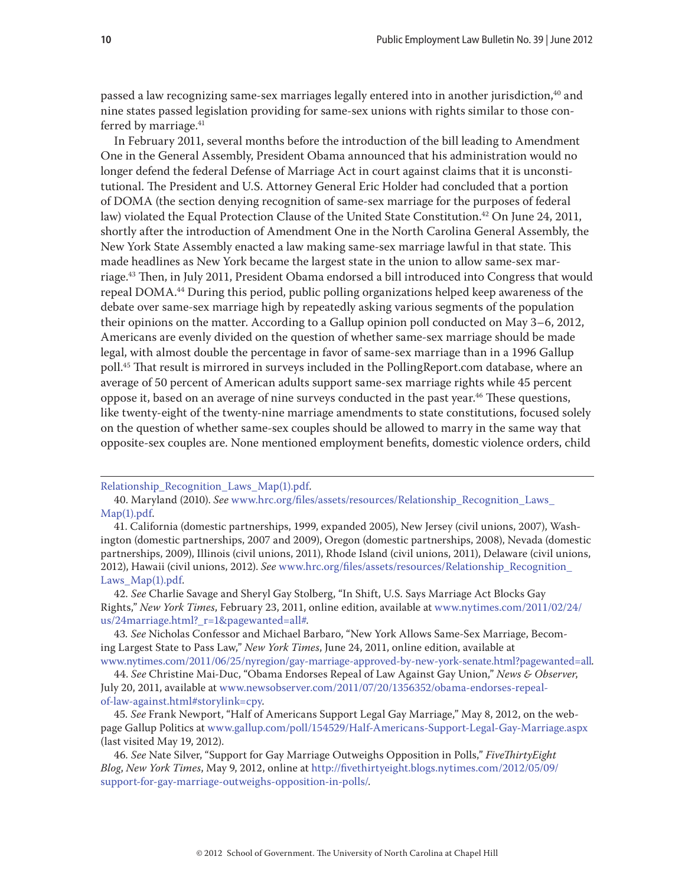passed a law recognizing same-sex marriages legally entered into in another jurisdiction,<sup>40</sup> and nine states passed legislation providing for same-sex unions with rights similar to those conferred by marriage. $41$ 

In February 2011, several months before the introduction of the bill leading to Amendment One in the General Assembly, President Obama announced that his administration would no longer defend the federal Defense of Marriage Act in court against claims that it is unconstitutional. The President and U.S. Attorney General Eric Holder had concluded that a portion of DOMA (the section denying recognition of same-sex marriage for the purposes of federal law) violated the Equal Protection Clause of the United State Constitution.<sup>42</sup> On June 24, 2011, shortly after the introduction of Amendment One in the North Carolina General Assembly, the New York State Assembly enacted a law making same-sex marriage lawful in that state. This made headlines as New York became the largest state in the union to allow same-sex marriage.43 Then, in July 2011, President Obama endorsed a bill introduced into Congress that would repeal DOMA.44 During this period, public polling organizations helped keep awareness of the debate over same-sex marriage high by repeatedly asking various segments of the population their opinions on the matter. According to a Gallup opinion poll conducted on May 3–6, 2012, Americans are evenly divided on the question of whether same-sex marriage should be made legal, with almost double the percentage in favor of same-sex marriage than in a 1996 Gallup poll.45 That result is mirrored in surveys included in the PollingReport.com database, where an average of 50 percent of American adults support same-sex marriage rights while 45 percent oppose it, based on an average of nine surveys conducted in the past year.46 These questions, like twenty-eight of the twenty-nine marriage amendments to state constitutions, focused solely on the question of whether same-sex couples should be allowed to marry in the same way that opposite-sex couples are. None mentioned employment benefits, domestic violence orders, child

[Relationship\\_Recognition\\_Laws\\_Map\(1\).pdf](http://www.hrc.org/files/assets/resources/Relationship_Recognition_Laws_Map(1).pdf).

<sup>40.</sup> Maryland (2010). *See* [www.hrc.org/files/assets/resources/Relationship\\_Recognition\\_Laws\\_](www.hrc.org/files/assets/resources/Relationship_Recognition_Laws_Map(1).pdf) [Map\(1\).pdf.](www.hrc.org/files/assets/resources/Relationship_Recognition_Laws_Map(1).pdf)

<sup>41.</sup> California (domestic partnerships, 1999, expanded 2005), New Jersey (civil unions, 2007), Washington (domestic partnerships, 2007 and 2009), Oregon (domestic partnerships, 2008), Nevada (domestic partnerships, 2009), Illinois (civil unions, 2011), Rhode Island (civil unions, 2011), Delaware (civil unions, 2012), Hawaii (civil unions, 2012). *See* [www.hrc.org/files/assets/resources/Relationship\\_Recognition\\_](http://www.hrc.org/files/assets/resources/Relationship_Recognition_Laws_Map(1).pdf) Laws Map(1).pdf.

<sup>42</sup>*. See* Charlie Savage and Sheryl Gay Stolberg, "In Shift, U.S. Says Marriage Act Blocks Gay Rights," *New York Times*, February 23, 2011, online edition, available at [www.nytimes.com/2011/02/24/](http://www.nytimes.com/2011/02/24/us/24marriage.html?_r=1&pagewanted=all#) [us/24marriage.html?\\_r=1&pagewanted=all#.](http://www.nytimes.com/2011/02/24/us/24marriage.html?_r=1&pagewanted=all#)

<sup>43</sup>*. See* Nicholas Confessor and Michael Barbaro, "New York Allows Same-Sex Marriage, Becoming Largest State to Pass Law," *New York Times*, June 24, 2011, online edition, available at

[www.nytimes.com/2011/06/25/nyregion/gay-marriage-approved-by-new-york-senate.html?pagewanted=all.](http://www.nytimes.com/2011/06/25/nyregion/gay-marriage-approved-by-new-york-senate.html?pagewanted=all) 44. *See* Christine Mai-Duc, "Obama Endorses Repeal of Law Against Gay Union," *News & Observer*, July 20, 2011, available at [www.newsobserver.com/2011/07/20/1356352/obama-endorses-repeal](http://www.newsobserver.com/2011/07/20/1356352/obama-endorses-repeal-of-law-against.html#storylink=cpy)[of-law-against.html#storylink=cpy](http://www.newsobserver.com/2011/07/20/1356352/obama-endorses-repeal-of-law-against.html#storylink=cpy).

<sup>45</sup>*. See* Frank Newport, "Half of Americans Support Legal Gay Marriage," May 8, 2012, on the webpage Gallup Politics at [www.gallup.com/poll/154529/Half-Americans-Support-Legal-Gay-Marriage.aspx](http://www.gallup.com/poll/154529/Half-Americans-Support-Legal-Gay-Marriage.aspx) (last visited May 19, 2012).

<sup>46</sup>*. See* Nate Silver, "Support for Gay Marriage Outweighs Opposition in Polls," *FiveThirtyEight Blog*, *New York Times*, May 9, 2012, online at [http://fivethirtyeight.blogs.nytimes.com/2012/05/09/](http://fivethirtyeight.blogs.nytimes.com/2012/05/09/support-for-gay-marriage-outweighs-opposition-in-polls/) [support-for-gay-marriage-outweighs-opposition-in-polls/.](http://fivethirtyeight.blogs.nytimes.com/2012/05/09/support-for-gay-marriage-outweighs-opposition-in-polls/)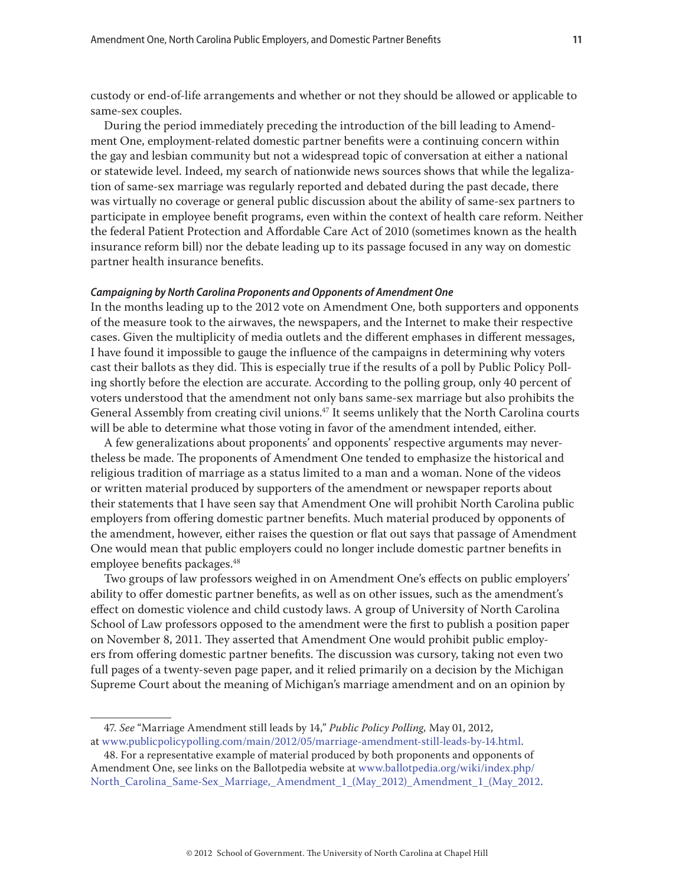custody or end-of-life arrangements and whether or not they should be allowed or applicable to same-sex couples.

During the period immediately preceding the introduction of the bill leading to Amendment One, employment-related domestic partner benefits were a continuing concern within the gay and lesbian community but not a widespread topic of conversation at either a national or statewide level. Indeed, my search of nationwide news sources shows that while the legalization of same-sex marriage was regularly reported and debated during the past decade, there was virtually no coverage or general public discussion about the ability of same-sex partners to participate in employee benefit programs, even within the context of health care reform. Neither the federal Patient Protection and Affordable Care Act of 2010 (sometimes known as the health insurance reform bill) nor the debate leading up to its passage focused in any way on domestic partner health insurance benefits.

#### *Campaigning by North Carolina Proponents and Opponents of Amendment One*

In the months leading up to the 2012 vote on Amendment One, both supporters and opponents of the measure took to the airwaves, the newspapers, and the Internet to make their respective cases. Given the multiplicity of media outlets and the different emphases in different messages, I have found it impossible to gauge the influence of the campaigns in determining why voters cast their ballots as they did. This is especially true if the results of a poll by Public Policy Polling shortly before the election are accurate. According to the polling group, only 40 percent of voters understood that the amendment not only bans same-sex marriage but also prohibits the General Assembly from creating civil unions.<sup>47</sup> It seems unlikely that the North Carolina courts will be able to determine what those voting in favor of the amendment intended, either.

A few generalizations about proponents' and opponents' respective arguments may nevertheless be made. The proponents of Amendment One tended to emphasize the historical and religious tradition of marriage as a status limited to a man and a woman. None of the videos or written material produced by supporters of the amendment or newspaper reports about their statements that I have seen say that Amendment One will prohibit North Carolina public employers from offering domestic partner benefits. Much material produced by opponents of the amendment, however, either raises the question or flat out says that passage of Amendment One would mean that public employers could no longer include domestic partner benefits in employee benefits packages.<sup>48</sup>

Two groups of law professors weighed in on Amendment One's effects on public employers' ability to offer domestic partner benefits, as well as on other issues, such as the amendment's effect on domestic violence and child custody laws. A group of University of North Carolina School of Law professors opposed to the amendment were the first to publish a position paper on November 8, 2011. They asserted that Amendment One would prohibit public employers from offering domestic partner benefits. The discussion was cursory, taking not even two full pages of a twenty-seven page paper, and it relied primarily on a decision by the Michigan Supreme Court about the meaning of Michigan's marriage amendment and on an opinion by

<sup>47</sup>*. See* "Marriage Amendment still leads by 14," *Public Policy Polling,* May 01, 2012, at [www.publicpolicypolling.com/main/2012/05/marriage-amendment-still-leads-by-14.html.](http://www.publicpolicypolling.com/main/2012/05/marriage-amendment-still-leads-by-14.html)

<sup>48.</sup> For a representative example of material produced by both proponents and opponents of Amendment One, see links on the Ballotpedia website at [www.ballotpedia.org/wiki/index.php/](http://www.ballotpedia.org/wiki/index.php/North_Carolina_Same-Sex_Marriage,_Amendment_1_(May_2012)_Amendment_1_(May_2012) [North\\_Carolina\\_Same-Sex\\_Marriage,\\_Amendment\\_1\\_\(May\\_2012\)\\_Amendment\\_1\\_\(May\\_2012](http://www.ballotpedia.org/wiki/index.php/North_Carolina_Same-Sex_Marriage,_Amendment_1_(May_2012)_Amendment_1_(May_2012).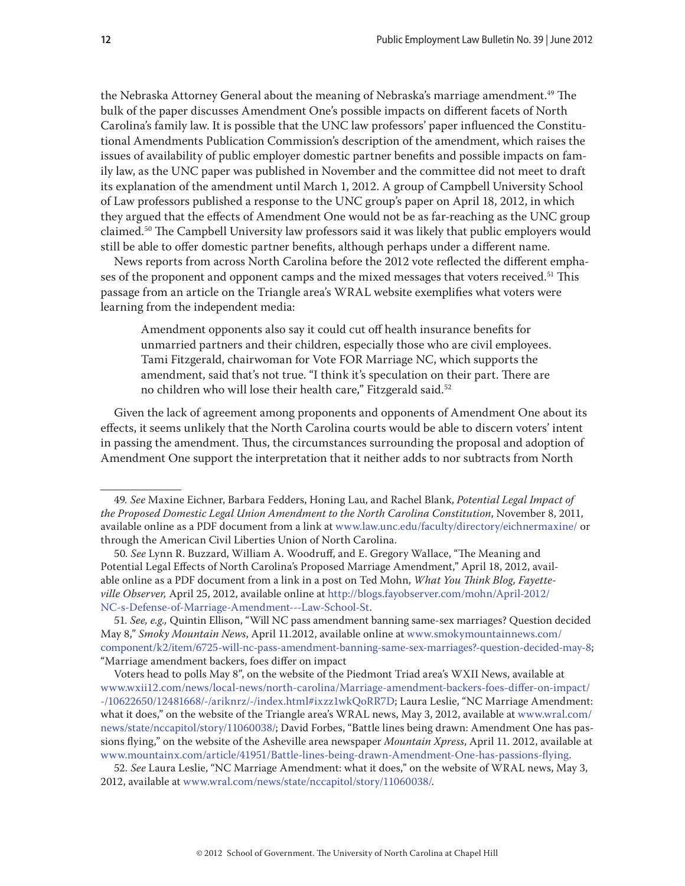the Nebraska Attorney General about the meaning of Nebraska's marriage amendment.<sup>49</sup> The bulk of the paper discusses Amendment One's possible impacts on different facets of North Carolina's family law. It is possible that the UNC law professors' paper influenced the Constitutional Amendments Publication Commission's description of the amendment, which raises the issues of availability of public employer domestic partner benefits and possible impacts on family law, as the UNC paper was published in November and the committee did not meet to draft its explanation of the amendment until March 1, 2012. A group of Campbell University School of Law professors published a response to the UNC group's paper on April 18, 2012, in which they argued that the effects of Amendment One would not be as far-reaching as the UNC group claimed.50 The Campbell University law professors said it was likely that public employers would still be able to offer domestic partner benefits, although perhaps under a different name.

News reports from across North Carolina before the 2012 vote reflected the different emphases of the proponent and opponent camps and the mixed messages that voters received.<sup>51</sup> This passage from an article on the Triangle area's WRAL website exemplifies what voters were learning from the independent media:

Amendment opponents also say it could cut off health insurance benefits for unmarried partners and their children, especially those who are civil employees. Tami Fitzgerald, chairwoman for Vote FOR Marriage NC, which supports the amendment, said that's not true. "I think it's speculation on their part. There are no children who will lose their health care," Fitzgerald said.<sup>52</sup>

Given the lack of agreement among proponents and opponents of Amendment One about its effects, it seems unlikely that the North Carolina courts would be able to discern voters' intent in passing the amendment. Thus, the circumstances surrounding the proposal and adoption of Amendment One support the interpretation that it neither adds to nor subtracts from North

52*. See* Laura Leslie, "NC Marriage Amendment: what it does," on the website of WRAL news, May 3, 2012, available at [www.wral.com/news/state/nccapitol/story/11060038/.](http://www.wral.com/news/state/nccapitol/story/11060038/)

<sup>49</sup>*. See* Maxine Eichner, Barbara Fedders, Honing Lau, and Rachel Blank, *Potential Legal Impact of the Proposed Domestic Legal Union Amendment to the North Carolina Constitution*, November 8, 2011, available online as a PDF document from a link at [www.law.unc.edu/faculty/directory/eichnermaxine/](http://www.law.unc.edu/faculty/directory/eichnermaxine/) or through the American Civil Liberties Union of North Carolina.

<sup>50</sup>*. See* Lynn R. Buzzard, William A. Woodruff, and E. Gregory Wallace, "The Meaning and Potential Legal Effects of North Carolina's Proposed Marriage Amendment," April 18, 2012, available online as a PDF document from a link in a post on Ted Mohn, *What You Think Blog, Fayetteville Observer,* April 25, 2012, available online at [http://blogs.fayobserver.com/mohn/April-2012/](http://blogs.fayobserver.com/mohn/April-2012/NC-s-Defense-of-Marriage-Amendment---Law-School-St) [NC-s-Defense-of-Marriage-Amendment---Law-School-St](http://blogs.fayobserver.com/mohn/April-2012/NC-s-Defense-of-Marriage-Amendment---Law-School-St).

<sup>51</sup>*. See, e.g.,* Quintin Ellison, "Will NC pass amendment banning same-sex marriages? Question decided May 8," *Smoky Mountain News*, April 11.2012, available online at [www.smokymountainnews.com/](http://www.smokymountainnews.com/component/k2/item/6725-will-nc-pass-amendment-banning-same-sex-marriages?-question-decided-may-8) [component/k2/item/6725-will-nc-pass-amendment-banning-same-sex-marriages?-question-decided-may-8;](http://www.smokymountainnews.com/component/k2/item/6725-will-nc-pass-amendment-banning-same-sex-marriages?-question-decided-may-8) "Marriage amendment backers, foes differ on impact

Voters head to polls May 8", on the website of the Piedmont Triad area's WXII News, available at [www.wxii12.com/news/local-news/north-carolina/Marriage-amendment-backers-foes-differ-on-impact/](http://www.wxii12.com/news/local-news/north-carolina/Marriage-amendment-backers-foes-differ-on-impact/-/10622650/12481668/-/ariknrz/-/index.html#ixzz1wkQoRR7D) [-/10622650/12481668/-/ariknrz/-/index.html#ixzz1wkQoRR7D;](http://www.wxii12.com/news/local-news/north-carolina/Marriage-amendment-backers-foes-differ-on-impact/-/10622650/12481668/-/ariknrz/-/index.html#ixzz1wkQoRR7D) Laura Leslie, "NC Marriage Amendment: what it does," on the website of the Triangle area's WRAL news, May 3, 2012, available at [www.wral.com/](http://www.wral.com/news/state/nccapitol/story/11060038/) [news/state/nccapitol/story/11060038/](http://www.wral.com/news/state/nccapitol/story/11060038/); David Forbes, "Battle lines being drawn: Amendment One has passions flying," on the website of the Asheville area newspaper *Mountain Xpress*, April 11. 2012, available at [www.mountainx.com/article/41951/Battle-lines-being-drawn-Amendment-One-has-passions-flying.](http://www.mountainx.com/article/41951/Battle-lines-being-drawn-Amendment-One-has-passions-flying)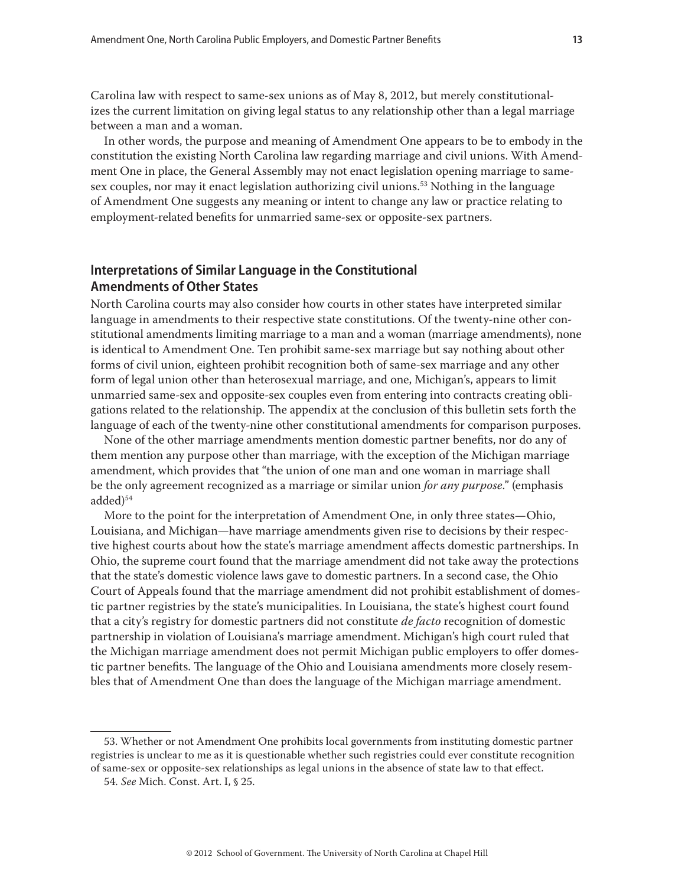Carolina law with respect to same-sex unions as of May 8, 2012, but merely constitutionalizes the current limitation on giving legal status to any relationship other than a legal marriage between a man and a woman.

In other words, the purpose and meaning of Amendment One appears to be to embody in the constitution the existing North Carolina law regarding marriage and civil unions. With Amendment One in place, the General Assembly may not enact legislation opening marriage to samesex couples, nor may it enact legislation authorizing civil unions.<sup>53</sup> Nothing in the language of Amendment One suggests any meaning or intent to change any law or practice relating to employment-related benefits for unmarried same-sex or opposite-sex partners.

# **Interpretations of Similar Language in the Constitutional Amendments of Other States**

North Carolina courts may also consider how courts in other states have interpreted similar language in amendments to their respective state constitutions. Of the twenty-nine other constitutional amendments limiting marriage to a man and a woman (marriage amendments), none is identical to Amendment One. Ten prohibit same-sex marriage but say nothing about other forms of civil union, eighteen prohibit recognition both of same-sex marriage and any other form of legal union other than heterosexual marriage, and one, Michigan's, appears to limit unmarried same-sex and opposite-sex couples even from entering into contracts creating obligations related to the relationship. The appendix at the conclusion of this bulletin sets forth the language of each of the twenty-nine other constitutional amendments for comparison purposes.

None of the other marriage amendments mention domestic partner benefits, nor do any of them mention any purpose other than marriage, with the exception of the Michigan marriage amendment, which provides that "the union of one man and one woman in marriage shall be the only agreement recognized as a marriage or similar union *for any purpose*." (emphasis added)<sup>54</sup>

More to the point for the interpretation of Amendment One, in only three states—Ohio, Louisiana, and Michigan—have marriage amendments given rise to decisions by their respective highest courts about how the state's marriage amendment affects domestic partnerships. In Ohio, the supreme court found that the marriage amendment did not take away the protections that the state's domestic violence laws gave to domestic partners. In a second case, the Ohio Court of Appeals found that the marriage amendment did not prohibit establishment of domestic partner registries by the state's municipalities. In Louisiana, the state's highest court found that a city's registry for domestic partners did not constitute *de facto* recognition of domestic partnership in violation of Louisiana's marriage amendment. Michigan's high court ruled that the Michigan marriage amendment does not permit Michigan public employers to offer domestic partner benefits. The language of the Ohio and Louisiana amendments more closely resembles that of Amendment One than does the language of the Michigan marriage amendment.

<sup>53.</sup> Whether or not Amendment One prohibits local governments from instituting domestic partner registries is unclear to me as it is questionable whether such registries could ever constitute recognition of same-sex or opposite-sex relationships as legal unions in the absence of state law to that effect.

<sup>54</sup>*. See* Mich. Const. Art. I, § 25.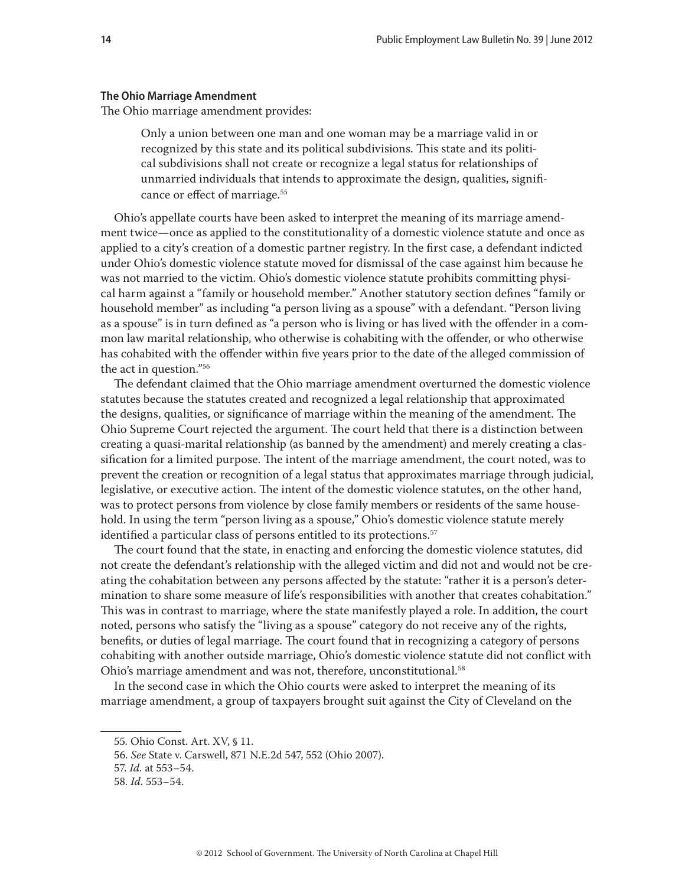#### **The Ohio Marriage Amendment**

The Ohio marriage amendment provides:

Only a union between one man and one woman may be a marriage valid in or recognized by this state and its political subdivisions. This state and its political subdivisions shall not create or recognize a legal status for relationships of unmarried individuals that intends to approximate the design, qualities, significance or effect of marriage.<sup>55</sup>

Ohio's appellate courts have been asked to interpret the meaning of its marriage amendment twice—once as applied to the constitutionality of a domestic violence statute and once as applied to a city's creation of a domestic partner registry. In the first case, a defendant indicted under Ohio's domestic violence statute moved for dismissal of the case against him because he was not married to the victim. Ohio's domestic violence statute prohibits committing physical harm against a "family or household member." Another statutory section defines "family or household member" as including "a person living as a spouse" with a defendant. "Person living as a spouse" is in turn defined as "a person who is living or has lived with the offender in a common law marital relationship, who otherwise is cohabiting with the offender, or who otherwise has cohabited with the offender within five years prior to the date of the alleged commission of the act in question."56

The defendant claimed that the Ohio marriage amendment overturned the domestic violence statutes because the statutes created and recognized a legal relationship that approximated the designs, qualities, or significance of marriage within the meaning of the amendment. The Ohio Supreme Court rejected the argument. The court held that there is a distinction between creating a quasi-marital relationship (as banned by the amendment) and merely creating a classification for a limited purpose. The intent of the marriage amendment, the court noted, was to prevent the creation or recognition of a legal status that approximates marriage through judicial, legislative, or executive action. The intent of the domestic violence statutes, on the other hand, was to protect persons from violence by close family members or residents of the same household. In using the term "person living as a spouse," Ohio's domestic violence statute merely identified a particular class of persons entitled to its protections.<sup>57</sup>

The court found that the state, in enacting and enforcing the domestic violence statutes, did not create the defendant's relationship with the alleged victim and did not and would not be creating the cohabitation between any persons affected by the statute: "rather it is a person's determination to share some measure of life's responsibilities with another that creates cohabitation." This was in contrast to marriage, where the state manifestly played a role. In addition, the court noted, persons who satisfy the "living as a spouse" category do not receive any of the rights, benefits, or duties of legal marriage. The court found that in recognizing a category of persons cohabiting with another outside marriage, Ohio's domestic violence statute did not conflict with Ohio's marriage amendment and was not, therefore, unconstitutional.<sup>58</sup>

In the second case in which the Ohio courts were asked to interpret the meaning of its marriage amendment, a group of taxpayers brought suit against the City of Cleveland on the

<sup>55</sup>*.* Ohio Const. Art. XV, § 11.

<sup>56</sup>*. See* State v. Carswell, 871 N.E.2d 547, 552 (Ohio 2007).

<sup>57</sup>*. Id.* at 553–54.

<sup>58</sup>*. Id.* 553–54.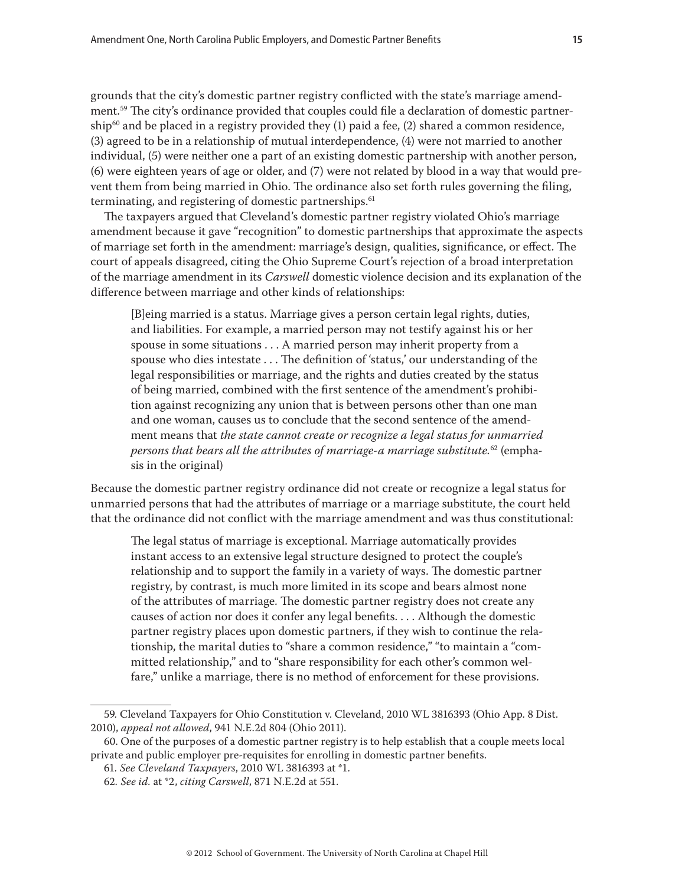grounds that the city's domestic partner registry conflicted with the state's marriage amendment.59 The city's ordinance provided that couples could file a declaration of domestic partner $ship<sup>60</sup>$  and be placed in a registry provided they (1) paid a fee, (2) shared a common residence, (3) agreed to be in a relationship of mutual interdependence, (4) were not married to another individual, (5) were neither one a part of an existing domestic partnership with another person, (6) were eighteen years of age or older, and (7) were not related by blood in a way that would prevent them from being married in Ohio. The ordinance also set forth rules governing the filing, terminating, and registering of domestic partnerships.<sup>61</sup>

The taxpayers argued that Cleveland's domestic partner registry violated Ohio's marriage amendment because it gave "recognition" to domestic partnerships that approximate the aspects of marriage set forth in the amendment: marriage's design, qualities, significance, or effect. The court of appeals disagreed, citing the Ohio Supreme Court's rejection of a broad interpretation of the marriage amendment in its *Carswell* domestic violence decision and its explanation of the difference between marriage and other kinds of relationships:

[B]eing married is a status. Marriage gives a person certain legal rights, duties, and liabilities. For example, a married person may not testify against his or her spouse in some situations . . . A married person may inherit property from a spouse who dies intestate . . . The definition of 'status,' our understanding of the legal responsibilities or marriage, and the rights and duties created by the status of being married, combined with the first sentence of the amendment's prohibition against recognizing any union that is between persons other than one man and one woman, causes us to conclude that the second sentence of the amendment means that *the state cannot create or recognize a legal status for unmarried persons that bears all the attributes of marriage-a marriage substitute.*<sup>62</sup> (emphasis in the original)

Because the domestic partner registry ordinance did not create or recognize a legal status for unmarried persons that had the attributes of marriage or a marriage substitute, the court held that the ordinance did not conflict with the marriage amendment and was thus constitutional:

The legal status of marriage is exceptional. Marriage automatically provides instant access to an extensive legal structure designed to protect the couple's relationship and to support the family in a variety of ways. The domestic partner registry, by contrast, is much more limited in its scope and bears almost none of the attributes of marriage. The domestic partner registry does not create any causes of action nor does it confer any legal benefits. . . . Although the domestic partner registry places upon domestic partners, if they wish to continue the relationship, the marital duties to "share a common residence," "to maintain a "committed relationship," and to "share responsibility for each other's common welfare," unlike a marriage, there is no method of enforcement for these provisions.

<sup>59</sup>*.* Cleveland Taxpayers for Ohio Constitution v. Cleveland, 2010 WL 3816393 (Ohio App. 8 Dist. 2010), *appeal not allowed*, 941 N.E.2d 804 (Ohio 2011).

<sup>60.</sup> One of the purposes of a domestic partner registry is to help establish that a couple meets local private and public employer pre-requisites for enrolling in domestic partner benefits.

<sup>61</sup>*. See Cleveland Taxpayers*, 2010 WL 3816393 at \*1.

<sup>62</sup>*. See id.* at \*2, *citing Carswell*, 871 N.E.2d at 551.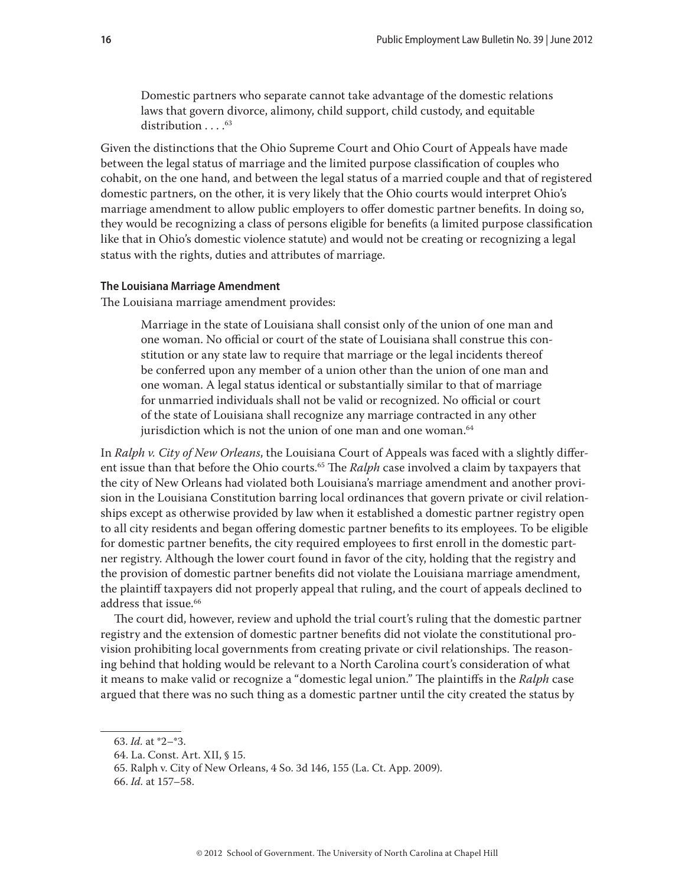Domestic partners who separate cannot take advantage of the domestic relations laws that govern divorce, alimony, child support, child custody, and equitable distribution  $\ldots$ .  $^{63}$ 

Given the distinctions that the Ohio Supreme Court and Ohio Court of Appeals have made between the legal status of marriage and the limited purpose classification of couples who cohabit, on the one hand, and between the legal status of a married couple and that of registered domestic partners, on the other, it is very likely that the Ohio courts would interpret Ohio's marriage amendment to allow public employers to offer domestic partner benefits. In doing so, they would be recognizing a class of persons eligible for benefits (a limited purpose classification like that in Ohio's domestic violence statute) and would not be creating or recognizing a legal status with the rights, duties and attributes of marriage.

#### **The Louisiana Marriage Amendment**

The Louisiana marriage amendment provides:

Marriage in the state of Louisiana shall consist only of the union of one man and one woman. No official or court of the state of Louisiana shall construe this constitution or any state law to require that marriage or the legal incidents thereof be conferred upon any member of a union other than the union of one man and one woman. A legal status identical or substantially similar to that of marriage for unmarried individuals shall not be valid or recognized. No official or court of the state of Louisiana shall recognize any marriage contracted in any other jurisdiction which is not the union of one man and one woman.<sup>64</sup>

In *Ralph v. City of New Orleans*, the Louisiana Court of Appeals was faced with a slightly different issue than that before the Ohio courts.<sup>65</sup> The *Ralph* case involved a claim by taxpayers that the city of New Orleans had violated both Louisiana's marriage amendment and another provision in the Louisiana Constitution barring local ordinances that govern private or civil relationships except as otherwise provided by law when it established a domestic partner registry open to all city residents and began offering domestic partner benefits to its employees. To be eligible for domestic partner benefits, the city required employees to first enroll in the domestic partner registry. Although the lower court found in favor of the city, holding that the registry and the provision of domestic partner benefits did not violate the Louisiana marriage amendment, the plaintiff taxpayers did not properly appeal that ruling, and the court of appeals declined to address that issue.<sup>66</sup>

The court did, however, review and uphold the trial court's ruling that the domestic partner registry and the extension of domestic partner benefits did not violate the constitutional provision prohibiting local governments from creating private or civil relationships. The reasoning behind that holding would be relevant to a North Carolina court's consideration of what it means to make valid or recognize a "domestic legal union." The plaintiffs in the *Ralph* case argued that there was no such thing as a domestic partner until the city created the status by

<sup>63.</sup> *Id.* at \*2–\*3.

<sup>64.</sup> La. Const. Art. XII, § 15.

<sup>65.</sup> Ralph v. City of New Orleans, 4 So. 3d 146, 155 (La. Ct. App. 2009).

<sup>66.</sup> *Id.* at 157–58.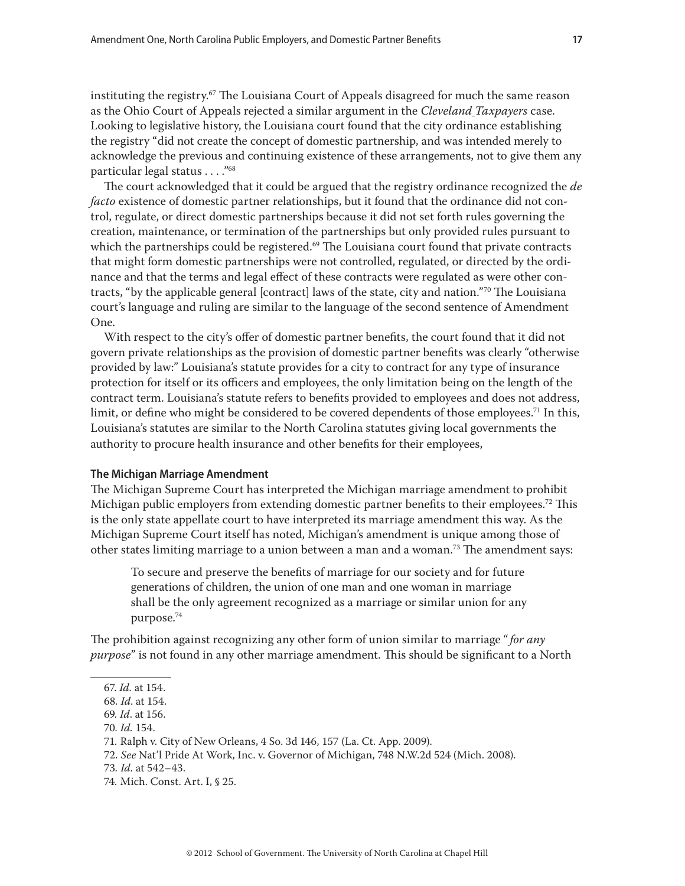instituting the registry.<sup>67</sup> The Louisiana Court of Appeals disagreed for much the same reason as the Ohio Court of Appeals rejected a similar argument in the *Cleveland Taxpayers* case. Looking to legislative history, the Louisiana court found that the city ordinance establishing the registry "did not create the concept of domestic partnership, and was intended merely to acknowledge the previous and continuing existence of these arrangements, not to give them any particular legal status . . . ."68

The court acknowledged that it could be argued that the registry ordinance recognized the *de facto* existence of domestic partner relationships, but it found that the ordinance did not control, regulate, or direct domestic partnerships because it did not set forth rules governing the creation, maintenance, or termination of the partnerships but only provided rules pursuant to which the partnerships could be registered.<sup>69</sup> The Louisiana court found that private contracts that might form domestic partnerships were not controlled, regulated, or directed by the ordinance and that the terms and legal effect of these contracts were regulated as were other contracts, "by the applicable general [contract] laws of the state, city and nation."70 The Louisiana court's language and ruling are similar to the language of the second sentence of Amendment One.

With respect to the city's offer of domestic partner benefits, the court found that it did not govern private relationships as the provision of domestic partner benefits was clearly "otherwise provided by law:" Louisiana's statute provides for a city to contract for any type of insurance protection for itself or its officers and employees, the only limitation being on the length of the contract term. Louisiana's statute refers to benefits provided to employees and does not address, limit, or define who might be considered to be covered dependents of those employees.<sup>71</sup> In this, Louisiana's statutes are similar to the North Carolina statutes giving local governments the authority to procure health insurance and other benefits for their employees,

#### **The Michigan Marriage Amendment**

The Michigan Supreme Court has interpreted the Michigan marriage amendment to prohibit Michigan public employers from extending domestic partner benefits to their employees.<sup>72</sup> This is the only state appellate court to have interpreted its marriage amendment this way. As the Michigan Supreme Court itself has noted, Michigan's amendment is unique among those of other states limiting marriage to a union between a man and a woman.73 The amendment says:

To secure and preserve the benefits of marriage for our society and for future generations of children, the union of one man and one woman in marriage shall be the only agreement recognized as a marriage or similar union for any purpose.74

The prohibition against recognizing any other form of union similar to marriage "*for any purpose*" is not found in any other marriage amendment. This should be significant to a North

70*. Id.* 154.

73*. Id.* at 542–43.

<sup>67.</sup> *Id.* at 154.

<sup>68</sup>*. Id*. at 154.

<sup>69</sup>*. Id*. at 156.

<sup>71</sup>*.* Ralph v. City of New Orleans, 4 So. 3d 146, 157 (La. Ct. App. 2009).

<sup>72</sup>*. See* Nat'l Pride At Work, Inc. v. Governor of Michigan, 748 N.W.2d 524 (Mich. 2008).

<sup>74</sup>*.* Mich. Const. Art. I, § 25.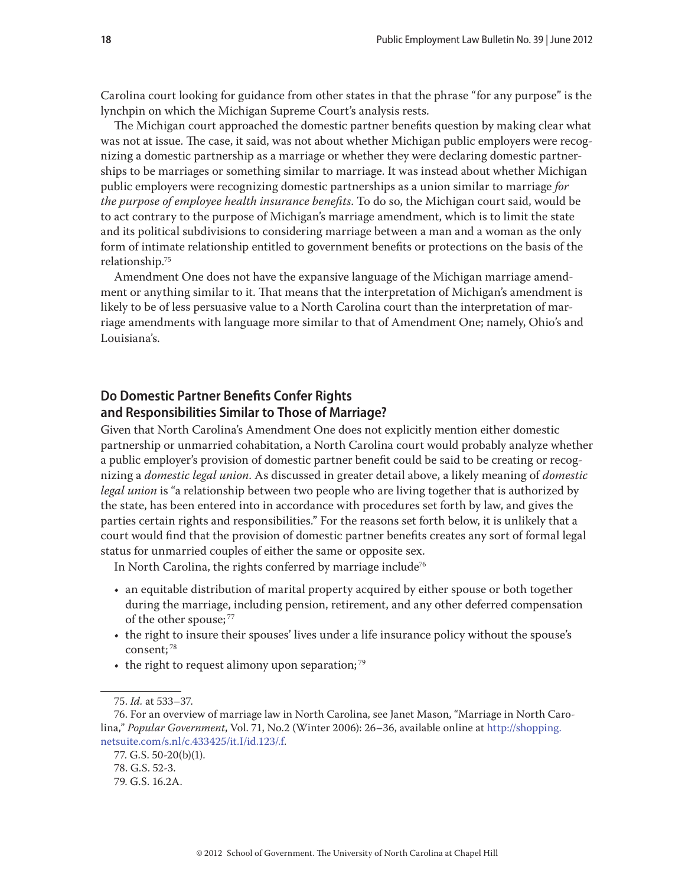Carolina court looking for guidance from other states in that the phrase "for any purpose" is the lynchpin on which the Michigan Supreme Court's analysis rests.

The Michigan court approached the domestic partner benefits question by making clear what was not at issue. The case, it said, was not about whether Michigan public employers were recognizing a domestic partnership as a marriage or whether they were declaring domestic partnerships to be marriages or something similar to marriage. It was instead about whether Michigan public employers were recognizing domestic partnerships as a union similar to marriage *for the purpose of employee health insurance benefits*. To do so, the Michigan court said, would be to act contrary to the purpose of Michigan's marriage amendment, which is to limit the state and its political subdivisions to considering marriage between a man and a woman as the only form of intimate relationship entitled to government benefits or protections on the basis of the relationship.75

Amendment One does not have the expansive language of the Michigan marriage amendment or anything similar to it. That means that the interpretation of Michigan's amendment is likely to be of less persuasive value to a North Carolina court than the interpretation of marriage amendments with language more similar to that of Amendment One; namely, Ohio's and Louisiana's.

# **Do Domestic Partner Benefits Confer Rights and Responsibilities Similar to Those of Marriage?**

Given that North Carolina's Amendment One does not explicitly mention either domestic partnership or unmarried cohabitation, a North Carolina court would probably analyze whether a public employer's provision of domestic partner benefit could be said to be creating or recognizing a *domestic legal union*. As discussed in greater detail above, a likely meaning of *domestic legal union* is "a relationship between two people who are living together that is authorized by the state, has been entered into in accordance with procedures set forth by law, and gives the parties certain rights and responsibilities." For the reasons set forth below, it is unlikely that a court would find that the provision of domestic partner benefits creates any sort of formal legal status for unmarried couples of either the same or opposite sex.

In North Carolina, the rights conferred by marriage include<sup>76</sup>

- an equitable distribution of marital property acquired by either spouse or both together during the marriage, including pension, retirement, and any other deferred compensation of the other spouse;<sup>77</sup>
- the right to insure their spouses' lives under a life insurance policy without the spouse's consent; <sup>78</sup>
- $\bullet$  the right to request alimony upon separation;<sup>79</sup>

<sup>75.</sup> *Id.* at 533–37.

<sup>76.</sup> For an overview of marriage law in North Carolina, see Janet Mason, "Marriage in North Carolina," *Popular Government*, Vol. 71, No.2 (Winter 2006): 26–36, available online at [http://shopping.](http://shopping.netsuite.com/s.nl/c.433425/it.I/id.123/.f) [netsuite.com/s.nl/c.433425/it.I/id.123/.f](http://shopping.netsuite.com/s.nl/c.433425/it.I/id.123/.f).

<sup>77.</sup> G.S. 50-20(b)(1). 78. G.S. 52-3. 79. G.S. 16.2A.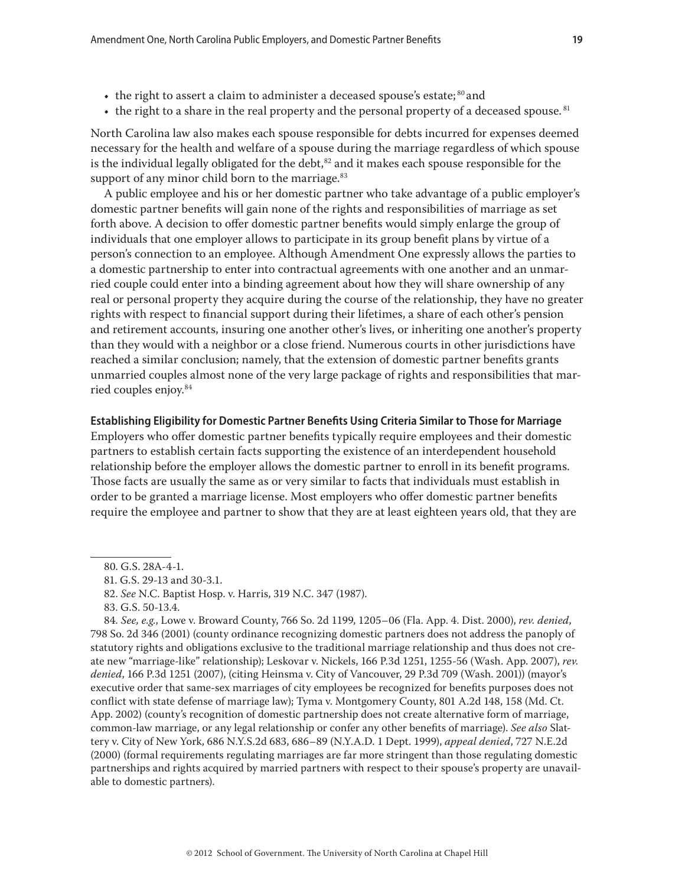- the right to assert a claim to administer a deceased spouse's estate;<sup>80</sup> and
- $\bullet$  the right to a share in the real property and the personal property of a deceased spouse.  $81$

North Carolina law also makes each spouse responsible for debts incurred for expenses deemed necessary for the health and welfare of a spouse during the marriage regardless of which spouse is the individual legally obligated for the debt, $82$  and it makes each spouse responsible for the support of any minor child born to the marriage.<sup>83</sup>

A public employee and his or her domestic partner who take advantage of a public employer's domestic partner benefits will gain none of the rights and responsibilities of marriage as set forth above. A decision to offer domestic partner benefits would simply enlarge the group of individuals that one employer allows to participate in its group benefit plans by virtue of a person's connection to an employee. Although Amendment One expressly allows the parties to a domestic partnership to enter into contractual agreements with one another and an unmarried couple could enter into a binding agreement about how they will share ownership of any real or personal property they acquire during the course of the relationship, they have no greater rights with respect to financial support during their lifetimes, a share of each other's pension and retirement accounts, insuring one another other's lives, or inheriting one another's property than they would with a neighbor or a close friend. Numerous courts in other jurisdictions have reached a similar conclusion; namely, that the extension of domestic partner benefits grants unmarried couples almost none of the very large package of rights and responsibilities that married couples enjoy.84

# **Establishing Eligibility for Domestic Partner Benefits Using Criteria Similar to Those for Marriage**

Employers who offer domestic partner benefits typically require employees and their domestic partners to establish certain facts supporting the existence of an interdependent household relationship before the employer allows the domestic partner to enroll in its benefit programs. Those facts are usually the same as or very similar to facts that individuals must establish in order to be granted a marriage license. Most employers who offer domestic partner benefits require the employee and partner to show that they are at least eighteen years old, that they are

<sup>80.</sup> G.S. 28A-4-1.

<sup>81.</sup> G.S. 29-13 and 30-3.1.

<sup>82.</sup> *See* N.C. Baptist Hosp. v. Harris, 319 N.C. 347 (1987).

<sup>83.</sup> G.S. 50-13.4.

<sup>84</sup>*. See, e.g.*, Lowe v. Broward County, 766 So. 2d 1199, 1205–06 (Fla. App. 4. Dist. 2000), *rev. denied*, 798 So. 2d 346 (2001) (county ordinance recognizing domestic partners does not address the panoply of statutory rights and obligations exclusive to the traditional marriage relationship and thus does not create new "marriage-like" relationship); Leskovar v. Nickels, 166 P.3d 1251, 1255-56 (Wash. App. 2007), *rev. denied*, 166 P.3d 1251 (2007), (citing Heinsma v. City of Vancouver, 29 P.3d 709 (Wash. 2001)) (mayor's executive order that same-sex marriages of city employees be recognized for benefits purposes does not conflict with state defense of marriage law); Tyma v. Montgomery County, 801 A.2d 148, 158 (Md. Ct. App. 2002) (county's recognition of domestic partnership does not create alternative form of marriage, common-law marriage, or any legal relationship or confer any other benefits of marriage). *See also* Slattery v. City of New York, 686 N.Y.S.2d 683, 686–89 (N.Y.A.D. 1 Dept. 1999), *appeal denied*, 727 N.E.2d (2000) (formal requirements regulating marriages are far more stringent than those regulating domestic partnerships and rights acquired by married partners with respect to their spouse's property are unavailable to domestic partners).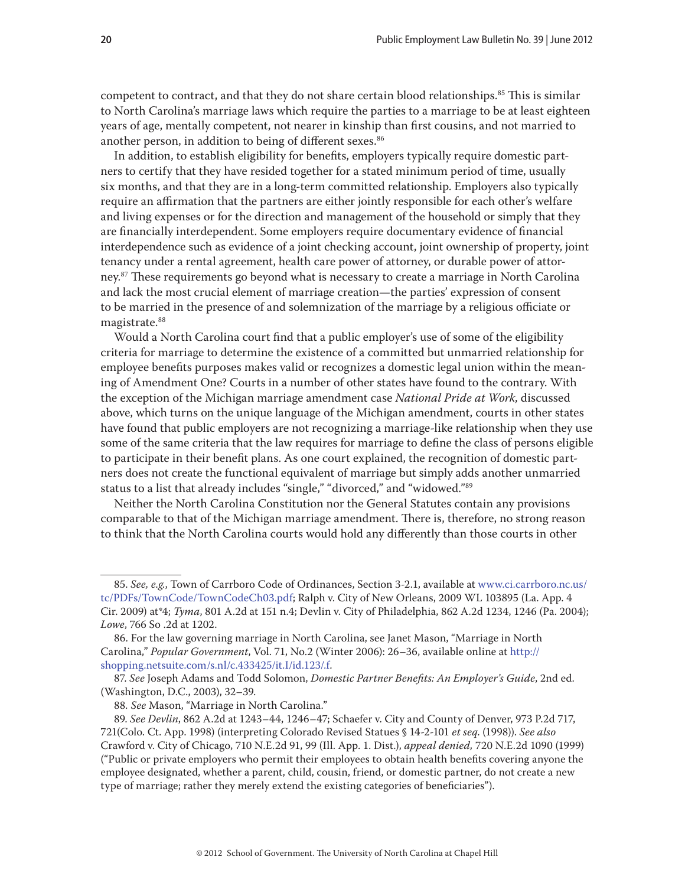competent to contract, and that they do not share certain blood relationships.<sup>85</sup> This is similar to North Carolina's marriage laws which require the parties to a marriage to be at least eighteen years of age, mentally competent, not nearer in kinship than first cousins, and not married to another person, in addition to being of different sexes.<sup>86</sup>

In addition, to establish eligibility for benefits, employers typically require domestic partners to certify that they have resided together for a stated minimum period of time, usually six months, and that they are in a long-term committed relationship. Employers also typically require an affirmation that the partners are either jointly responsible for each other's welfare and living expenses or for the direction and management of the household or simply that they are financially interdependent. Some employers require documentary evidence of financial interdependence such as evidence of a joint checking account, joint ownership of property, joint tenancy under a rental agreement, health care power of attorney, or durable power of attorney.<sup>87</sup> These requirements go beyond what is necessary to create a marriage in North Carolina and lack the most crucial element of marriage creation—the parties' expression of consent to be married in the presence of and solemnization of the marriage by a religious officiate or magistrate.<sup>88</sup>

Would a North Carolina court find that a public employer's use of some of the eligibility criteria for marriage to determine the existence of a committed but unmarried relationship for employee benefits purposes makes valid or recognizes a domestic legal union within the meaning of Amendment One? Courts in a number of other states have found to the contrary. With the exception of the Michigan marriage amendment case *National Pride at Work*, discussed above, which turns on the unique language of the Michigan amendment, courts in other states have found that public employers are not recognizing a marriage-like relationship when they use some of the same criteria that the law requires for marriage to define the class of persons eligible to participate in their benefit plans. As one court explained, the recognition of domestic partners does not create the functional equivalent of marriage but simply adds another unmarried status to a list that already includes "single," "divorced," and "widowed."89

Neither the North Carolina Constitution nor the General Statutes contain any provisions comparable to that of the Michigan marriage amendment. There is, therefore, no strong reason to think that the North Carolina courts would hold any differently than those courts in other

<sup>85.</sup> *See, e.g.*, Town of Carrboro Code of Ordinances, Section 3-2.1, available at [www.ci.carrboro.nc.us/](http://www.ci.carrboro.nc.us/tc/PDFs/TownCode/TownCodeCh03.pdf) [tc/PDFs/TownCode/TownCodeCh03.pdf;](http://www.ci.carrboro.nc.us/tc/PDFs/TownCode/TownCodeCh03.pdf) Ralph v. City of New Orleans, 2009 WL 103895 (La. App. 4 Cir. 2009) at\*4; *Tyma*, 801 A.2d at 151 n.4; Devlin v. City of Philadelphia, 862 A.2d 1234, 1246 (Pa. 2004); *Lowe*, 766 So .2d at 1202.

<sup>86.</sup> For the law governing marriage in North Carolina, see Janet Mason, "Marriage in North Carolina," *Popular Government*, Vol. 71, No.2 (Winter 2006): 26–36, available online at [http://](http://shopping.netsuite.com/s.nl/c.433425/it.I/id.123/.f) [shopping.netsuite.com/s.nl/c.433425/it.I/id.123/.f.](http://shopping.netsuite.com/s.nl/c.433425/it.I/id.123/.f)

<sup>87.</sup> *See* Joseph Adams and Todd Solomon, *Domestic Partner Benefits: An Employer's Guide*, 2nd ed. (Washington, D.C., 2003), 32–39.

<sup>88</sup>*. See* Mason, "Marriage in North Carolina."

<sup>89.</sup> *See Devlin*, 862 A.2d at 1243–44, 1246–47; Schaefer v. City and County of Denver, 973 P.2d 717, 721(Colo. Ct. App. 1998) (interpreting Colorado Revised Statues § 14-2-101 *et seq*. (1998)). *See also* Crawford v. City of Chicago, 710 N.E.2d 91, 99 (Ill. App. 1. Dist.), *appeal denied,* 720 N.E.2d 1090 (1999) ("Public or private employers who permit their employees to obtain health benefits covering anyone the employee designated, whether a parent, child, cousin, friend, or domestic partner, do not create a new type of marriage; rather they merely extend the existing categories of beneficiaries").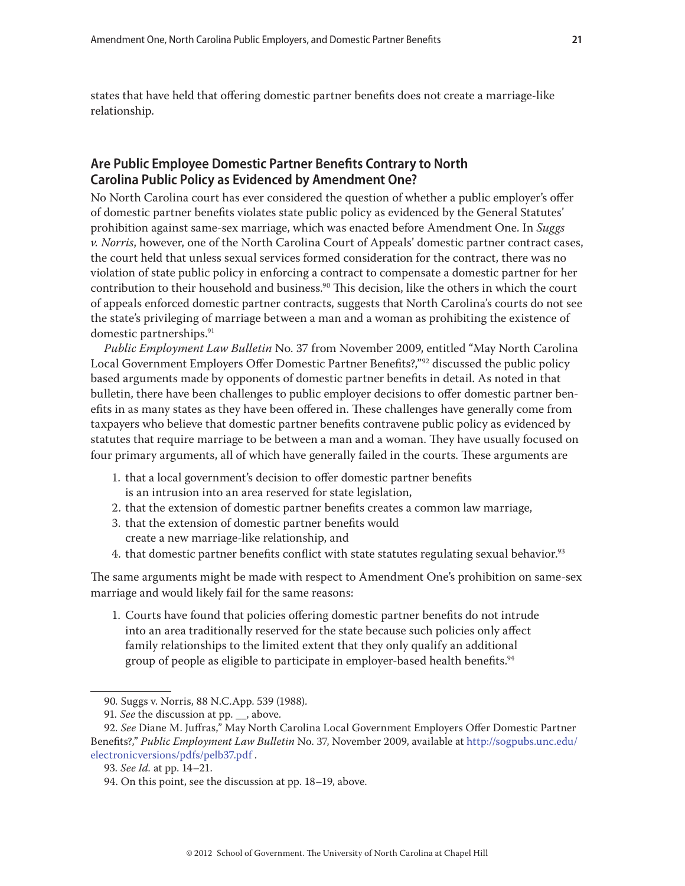states that have held that offering domestic partner benefits does not create a marriage-like relationship.

# **Are Public Employee Domestic Partner Benefits Contrary to North Carolina Public Policy as Evidenced by Amendment One?**

No North Carolina court has ever considered the question of whether a public employer's offer of domestic partner benefits violates state public policy as evidenced by the General Statutes' prohibition against same-sex marriage, which was enacted before Amendment One. In *Suggs v. Norris*, however, one of the North Carolina Court of Appeals' domestic partner contract cases, the court held that unless sexual services formed consideration for the contract, there was no violation of state public policy in enforcing a contract to compensate a domestic partner for her contribution to their household and business.<sup>90</sup> This decision, like the others in which the court of appeals enforced domestic partner contracts, suggests that North Carolina's courts do not see the state's privileging of marriage between a man and a woman as prohibiting the existence of domestic partnerships.<sup>91</sup>

*Public Employment Law Bulletin* No. 37 from November 2009, entitled "May North Carolina Local Government Employers Offer Domestic Partner Benefits?,"92 discussed the public policy based arguments made by opponents of domestic partner benefits in detail. As noted in that bulletin, there have been challenges to public employer decisions to offer domestic partner benefits in as many states as they have been offered in. These challenges have generally come from taxpayers who believe that domestic partner benefits contravene public policy as evidenced by statutes that require marriage to be between a man and a woman. They have usually focused on four primary arguments, all of which have generally failed in the courts. These arguments are

- 1. that a local government's decision to offer domestic partner benefits is an intrusion into an area reserved for state legislation,
- 2. that the extension of domestic partner benefits creates a common law marriage,
- 3. that the extension of domestic partner benefits would create a new marriage-like relationship, and
- 4. that domestic partner benefits conflict with state statutes regulating sexual behavior.<sup>93</sup>

The same arguments might be made with respect to Amendment One's prohibition on same-sex marriage and would likely fail for the same reasons:

1. Courts have found that policies offering domestic partner benefits do not intrude into an area traditionally reserved for the state because such policies only affect family relationships to the limited extent that they only qualify an additional group of people as eligible to participate in employer-based health benefits.<sup>94</sup>

<sup>90</sup>*.* Suggs v. Norris, 88 N.C.App. 539 (1988).

<sup>91</sup>*. See* the discussion at pp. \_\_, above.

<sup>92</sup>*. See* Diane M. Juffras," May North Carolina Local Government Employers Offer Domestic Partner Benefits?," *Public Employment Law Bulletin* No. 37, November 2009, available at [http://sogpubs.unc.edu/](http://sogpubs.unc.edu/electronicversions/pdfs/pelb37.pdf) [electronicversions/pdfs/pelb37.pdf](http://sogpubs.unc.edu/electronicversions/pdfs/pelb37.pdf) .

<sup>93</sup>*. See Id.* at pp. 14–21.

<sup>94.</sup> On this point, see the discussion at pp. 18–19, above.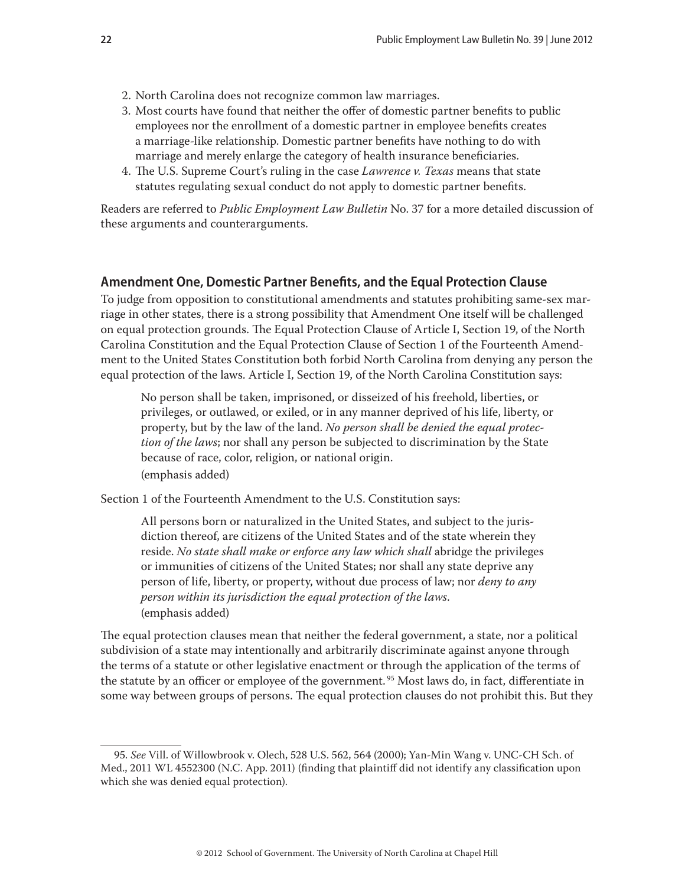- 2. North Carolina does not recognize common law marriages.
- 3. Most courts have found that neither the offer of domestic partner benefits to public employees nor the enrollment of a domestic partner in employee benefits creates a marriage-like relationship. Domestic partner benefits have nothing to do with marriage and merely enlarge the category of health insurance beneficiaries.
- 4. The U.S. Supreme Court's ruling in the case *Lawrence v. Texas* means that state statutes regulating sexual conduct do not apply to domestic partner benefits.

Readers are referred to *Public Employment Law Bulletin* No. 37 for a more detailed discussion of these arguments and counterarguments.

# **Amendment One, Domestic Partner Benefits, and the Equal Protection Clause**

To judge from opposition to constitutional amendments and statutes prohibiting same-sex marriage in other states, there is a strong possibility that Amendment One itself will be challenged on equal protection grounds. The Equal Protection Clause of Article I, Section 19, of the North Carolina Constitution and the Equal Protection Clause of Section 1 of the Fourteenth Amendment to the United States Constitution both forbid North Carolina from denying any person the equal protection of the laws. Article I, Section 19, of the North Carolina Constitution says:

No person shall be taken, imprisoned, or disseized of his freehold, liberties, or privileges, or outlawed, or exiled, or in any manner deprived of his life, liberty, or property, but by the law of the land. *No person shall be denied the equal protection of the laws*; nor shall any person be subjected to discrimination by the State because of race, color, religion, or national origin. (emphasis added)

Section 1 of the Fourteenth Amendment to the U.S. Constitution says:

All persons born or naturalized in the United States, and subject to the jurisdiction thereof, are citizens of the United States and of the state wherein they reside. *No state shall make or enforce any law which shall* abridge the privileges or immunities of citizens of the United States; nor shall any state deprive any person of life, liberty, or property, without due process of law; nor *deny to any person within its jurisdiction the equal protection of the laws*. (emphasis added)

The equal protection clauses mean that neither the federal government, a state, nor a political subdivision of a state may intentionally and arbitrarily discriminate against anyone through the terms of a statute or other legislative enactment or through the application of the terms of the statute by an officer or employee of the government.<sup>95</sup> Most laws do, in fact, differentiate in some way between groups of persons. The equal protection clauses do not prohibit this. But they

<sup>95</sup>*. See* Vill. of Willowbrook v. Olech, 528 U.S. 562, 564 (2000); Yan-Min Wang v. UNC-CH Sch. of Med., 2011 WL 4552300 (N.C. App. 2011) (finding that plaintiff did not identify any classification upon which she was denied equal protection).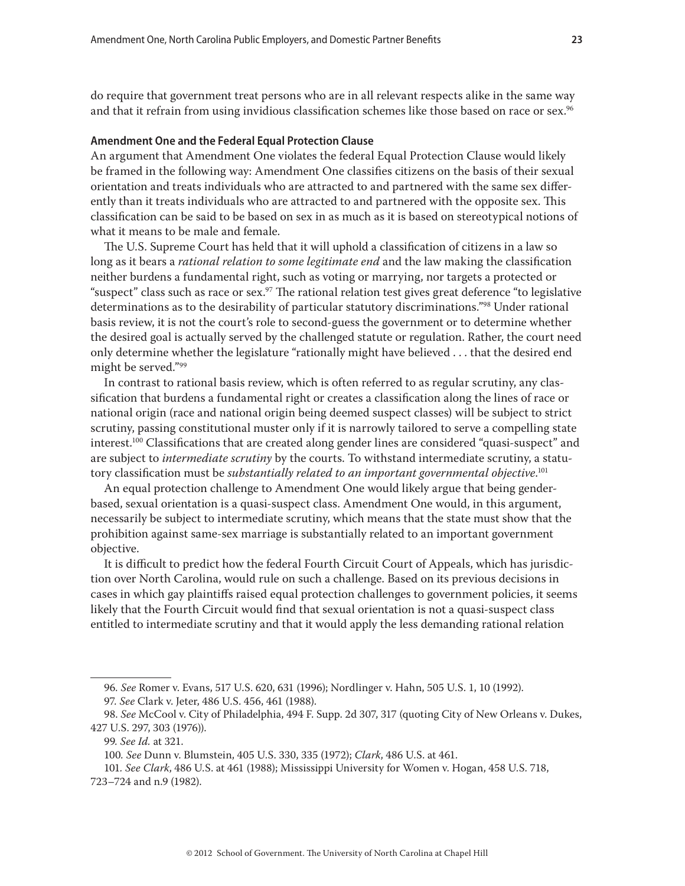do require that government treat persons who are in all relevant respects alike in the same way and that it refrain from using invidious classification schemes like those based on race or sex.<sup>96</sup>

## **Amendment One and the Federal Equal Protection Clause**

An argument that Amendment One violates the federal Equal Protection Clause would likely be framed in the following way: Amendment One classifies citizens on the basis of their sexual orientation and treats individuals who are attracted to and partnered with the same sex differently than it treats individuals who are attracted to and partnered with the opposite sex. This classification can be said to be based on sex in as much as it is based on stereotypical notions of what it means to be male and female.

The U.S. Supreme Court has held that it will uphold a classification of citizens in a law so long as it bears a *rational relation to some legitimate end* and the law making the classification neither burdens a fundamental right, such as voting or marrying, nor targets a protected or "suspect" class such as race or sex.<sup>97</sup> The rational relation test gives great deference "to legislative determinations as to the desirability of particular statutory discriminations."98 Under rational basis review, it is not the court's role to second-guess the government or to determine whether the desired goal is actually served by the challenged statute or regulation. Rather, the court need only determine whether the legislature "rationally might have believed . . . that the desired end might be served."99

In contrast to rational basis review, which is often referred to as regular scrutiny, any classification that burdens a fundamental right or creates a classification along the lines of race or national origin (race and national origin being deemed suspect classes) will be subject to strict scrutiny, passing constitutional muster only if it is narrowly tailored to serve a compelling state interest.100 Classifications that are created along gender lines are considered "quasi-suspect" and are subject to *intermediate scrutiny* by the courts. To withstand intermediate scrutiny, a statutory classification must be *substantially related to an important governmental objective*. 101

An equal protection challenge to Amendment One would likely argue that being genderbased, sexual orientation is a quasi-suspect class. Amendment One would, in this argument, necessarily be subject to intermediate scrutiny, which means that the state must show that the prohibition against same-sex marriage is substantially related to an important government objective.

It is difficult to predict how the federal Fourth Circuit Court of Appeals, which has jurisdiction over North Carolina, would rule on such a challenge. Based on its previous decisions in cases in which gay plaintiffs raised equal protection challenges to government policies, it seems likely that the Fourth Circuit would find that sexual orientation is not a quasi-suspect class entitled to intermediate scrutiny and that it would apply the less demanding rational relation

<sup>96</sup>*. See* Romer v. Evans, 517 U.S. 620, 631 (1996); Nordlinger v. Hahn, 505 U.S. 1, 10 (1992). 97*. See* Clark v. Jeter, 486 U.S. 456, 461 (1988).

<sup>98.</sup> *See* McCool v. City of Philadelphia, 494 F. Supp. 2d 307, 317 (quoting City of New Orleans v. Dukes, 427 U.S. 297, 303 (1976)).

<sup>99</sup>*. See Id.* at 321.

<sup>100</sup>*. See* Dunn v. Blumstein, 405 U.S. 330, 335 (1972); *Clark*, 486 U.S. at 461.

<sup>101</sup>*. See Clark*, 486 U.S. at 461 (1988); Mississippi University for Women v. Hogan, 458 U.S. 718, 723–724 and n.9 (1982).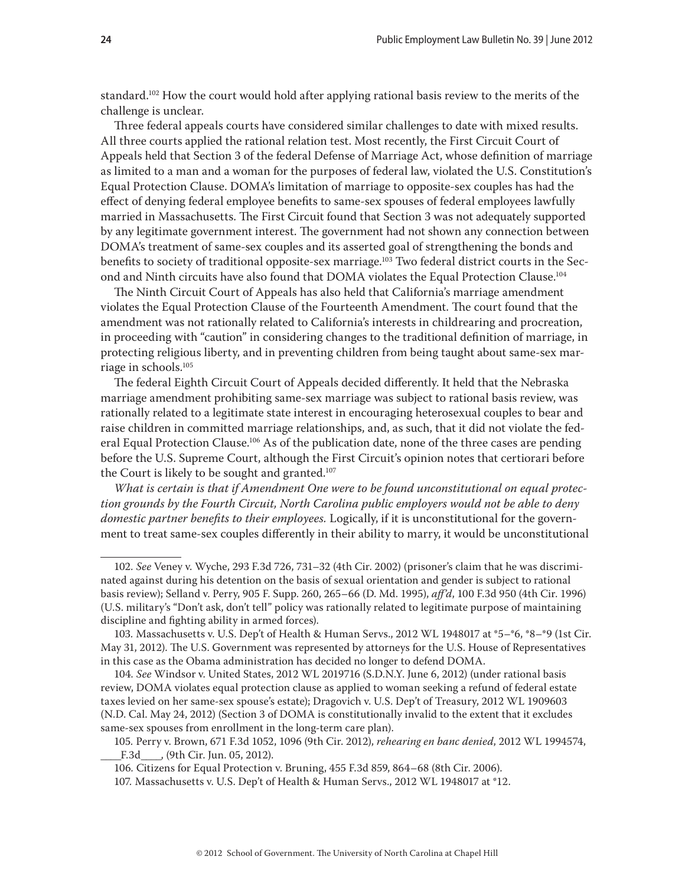standard.<sup>102</sup> How the court would hold after applying rational basis review to the merits of the challenge is unclear.

Three federal appeals courts have considered similar challenges to date with mixed results. All three courts applied the rational relation test. Most recently, the First Circuit Court of Appeals held that Section 3 of the federal Defense of Marriage Act, whose definition of marriage as limited to a man and a woman for the purposes of federal law, violated the U.S. Constitution's Equal Protection Clause. DOMA's limitation of marriage to opposite-sex couples has had the effect of denying federal employee benefits to same-sex spouses of federal employees lawfully married in Massachusetts. The First Circuit found that Section 3 was not adequately supported by any legitimate government interest. The government had not shown any connection between DOMA's treatment of same-sex couples and its asserted goal of strengthening the bonds and benefits to society of traditional opposite-sex marriage.103 Two federal district courts in the Second and Ninth circuits have also found that DOMA violates the Equal Protection Clause.<sup>104</sup>

The Ninth Circuit Court of Appeals has also held that California's marriage amendment violates the Equal Protection Clause of the Fourteenth Amendment. The court found that the amendment was not rationally related to California's interests in childrearing and procreation, in proceeding with "caution" in considering changes to the traditional definition of marriage, in protecting religious liberty, and in preventing children from being taught about same-sex marriage in schools.105

The federal Eighth Circuit Court of Appeals decided differently. It held that the Nebraska marriage amendment prohibiting same-sex marriage was subject to rational basis review, was rationally related to a legitimate state interest in encouraging heterosexual couples to bear and raise children in committed marriage relationships, and, as such, that it did not violate the federal Equal Protection Clause.<sup>106</sup> As of the publication date, none of the three cases are pending before the U.S. Supreme Court, although the First Circuit's opinion notes that certiorari before the Court is likely to be sought and granted.<sup>107</sup>

*What is certain is that if Amendment One were to be found unconstitutional on equal protection grounds by the Fourth Circuit, North Carolina public employers would not be able to deny domestic partner benefits to their employees.* Logically, if it is unconstitutional for the government to treat same-sex couples differently in their ability to marry, it would be unconstitutional

<sup>102</sup>*. See* Veney v. Wyche, 293 F.3d 726, 731–32 (4th Cir. 2002) (prisoner's claim that he was discriminated against during his detention on the basis of sexual orientation and gender is subject to rational basis review); Selland v. Perry, 905 F. Supp. 260, 265–66 (D. Md. 1995), *aff'd*, 100 F.3d 950 (4th Cir. 1996) (U.S. military's "Don't ask, don't tell" policy was rationally related to legitimate purpose of maintaining discipline and fighting ability in armed forces).

<sup>103</sup>*.* Massachusetts v. U.S. Dep't of Health & Human Servs., 2012 WL 1948017 at \*5–\*6, \*8–\*9 (1st Cir. May 31, 2012). The U.S. Government was represented by attorneys for the U.S. House of Representatives in this case as the Obama administration has decided no longer to defend DOMA.

<sup>104</sup>*. See* Windsor v. United States, 2012 WL 2019716 (S.D.N.Y. June 6, 2012) (under rational basis review, DOMA violates equal protection clause as applied to woman seeking a refund of federal estate taxes levied on her same-sex spouse's estate); Dragovich v. U.S. Dep't of Treasury, 2012 WL 1909603 (N.D. Cal. May 24, 2012) (Section 3 of DOMA is constitutionally invalid to the extent that it excludes same-sex spouses from enrollment in the long-term care plan).

<sup>105</sup>*.* Perry v. Brown, 671 F.3d 1052, 1096 (9th Cir. 2012), *rehearing en banc denied*, 2012 WL 1994574, \_\_\_\_F.3d\_\_\_\_, (9th Cir. Jun. 05, 2012).

<sup>106</sup>*.* Citizens for Equal Protection v. Bruning, 455 F.3d 859, 864–68 (8th Cir. 2006).

<sup>107</sup>*.* Massachusetts v. U.S. Dep't of Health & Human Servs., 2012 WL 1948017 at \*12.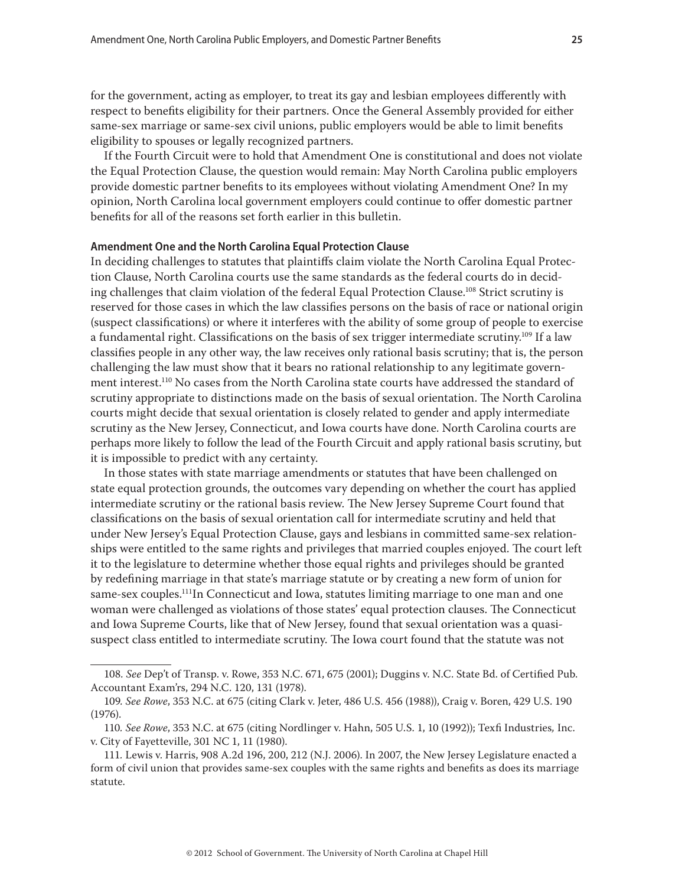for the government, acting as employer, to treat its gay and lesbian employees differently with respect to benefits eligibility for their partners. Once the General Assembly provided for either same-sex marriage or same-sex civil unions, public employers would be able to limit benefits eligibility to spouses or legally recognized partners.

If the Fourth Circuit were to hold that Amendment One is constitutional and does not violate the Equal Protection Clause, the question would remain: May North Carolina public employers provide domestic partner benefits to its employees without violating Amendment One? In my opinion, North Carolina local government employers could continue to offer domestic partner benefits for all of the reasons set forth earlier in this bulletin.

#### **Amendment One and the North Carolina Equal Protection Clause**

In deciding challenges to statutes that plaintiffs claim violate the North Carolina Equal Protection Clause, North Carolina courts use the same standards as the federal courts do in deciding challenges that claim violation of the federal Equal Protection Clause.<sup>108</sup> Strict scrutiny is reserved for those cases in which the law classifies persons on the basis of race or national origin (suspect classifications) or where it interferes with the ability of some group of people to exercise a fundamental right. Classifications on the basis of sex trigger intermediate scrutiny.109 If a law classifies people in any other way, the law receives only rational basis scrutiny; that is, the person challenging the law must show that it bears no rational relationship to any legitimate government interest.110 No cases from the North Carolina state courts have addressed the standard of scrutiny appropriate to distinctions made on the basis of sexual orientation. The North Carolina courts might decide that sexual orientation is closely related to gender and apply intermediate scrutiny as the New Jersey, Connecticut, and Iowa courts have done. North Carolina courts are perhaps more likely to follow the lead of the Fourth Circuit and apply rational basis scrutiny, but it is impossible to predict with any certainty.

In those states with state marriage amendments or statutes that have been challenged on state equal protection grounds, the outcomes vary depending on whether the court has applied intermediate scrutiny or the rational basis review. The New Jersey Supreme Court found that classifications on the basis of sexual orientation call for intermediate scrutiny and held that under New Jersey's Equal Protection Clause, gays and lesbians in committed same-sex relationships were entitled to the same rights and privileges that married couples enjoyed. The court left it to the legislature to determine whether those equal rights and privileges should be granted by redefining marriage in that state's marriage statute or by creating a new form of union for same-sex couples.111In Connecticut and Iowa, statutes limiting marriage to one man and one woman were challenged as violations of those states' equal protection clauses. The Connecticut and Iowa Supreme Courts, like that of New Jersey, found that sexual orientation was a quasisuspect class entitled to intermediate scrutiny. The Iowa court found that the statute was not

<sup>108</sup>*. See* Dep't of Transp. v. Rowe, 353 N.C. 671, 675 (2001); Duggins v. N.C. State Bd. of Certified Pub. Accountant Exam'rs, 294 N.C. 120, 131 (1978).

<sup>109</sup>*. See Rowe*, 353 N.C. at 675 (citing Clark v. Jeter, 486 U.S. 456 (1988)), Craig v. Boren, 429 U.S. 190 (1976).

<sup>110</sup>*. See Rowe*, 353 N.C. at 675 (citing Nordlinger v. Hahn, 505 U.S. 1, 10 (1992)); Texfi Industries*,* Inc. v. City of Fayetteville, 301 NC 1, 11 (1980).

<sup>111</sup>*.* Lewis v. Harris, 908 A.2d 196, 200, 212 (N.J. 2006). In 2007, the New Jersey Legislature enacted a form of civil union that provides same-sex couples with the same rights and benefits as does its marriage statute.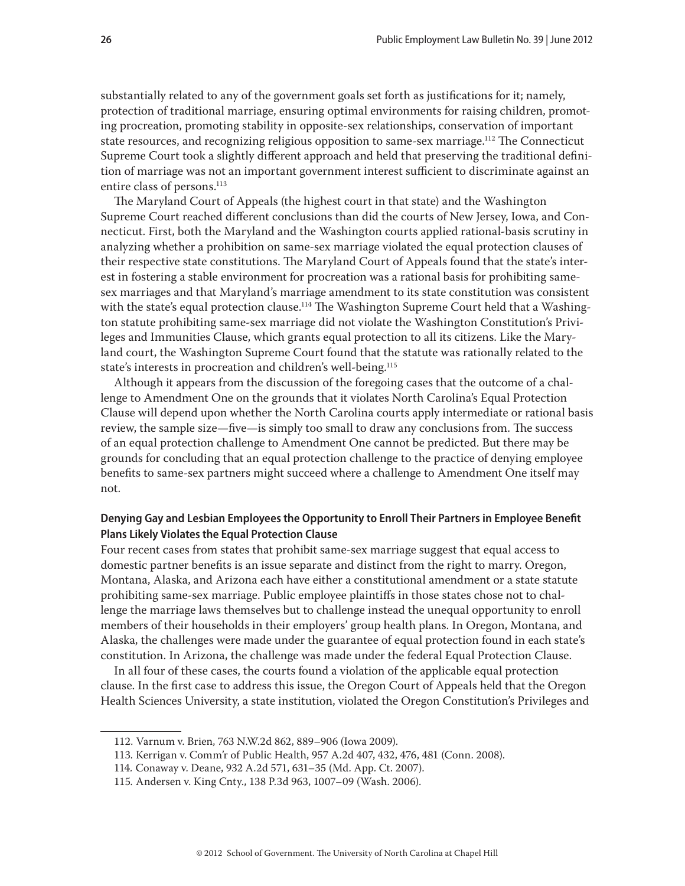substantially related to any of the government goals set forth as justifications for it; namely, protection of traditional marriage, ensuring optimal environments for raising children, promoting procreation, promoting stability in opposite-sex relationships, conservation of important state resources, and recognizing religious opposition to same-sex marriage.<sup>112</sup> The Connecticut Supreme Court took a slightly different approach and held that preserving the traditional definition of marriage was not an important government interest sufficient to discriminate against an entire class of persons.<sup>113</sup>

The Maryland Court of Appeals (the highest court in that state) and the Washington Supreme Court reached different conclusions than did the courts of New Jersey, Iowa, and Connecticut. First, both the Maryland and the Washington courts applied rational-basis scrutiny in analyzing whether a prohibition on same-sex marriage violated the equal protection clauses of their respective state constitutions. The Maryland Court of Appeals found that the state's interest in fostering a stable environment for procreation was a rational basis for prohibiting samesex marriages and that Maryland's marriage amendment to its state constitution was consistent with the state's equal protection clause.<sup>114</sup> The Washington Supreme Court held that a Washington statute prohibiting same-sex marriage did not violate the Washington Constitution's Privileges and Immunities Clause, which grants equal protection to all its citizens. Like the Maryland court, the Washington Supreme Court found that the statute was rationally related to the state's interests in procreation and children's well-being.<sup>115</sup>

Although it appears from the discussion of the foregoing cases that the outcome of a challenge to Amendment One on the grounds that it violates North Carolina's Equal Protection Clause will depend upon whether the North Carolina courts apply intermediate or rational basis review, the sample size—five—is simply too small to draw any conclusions from. The success of an equal protection challenge to Amendment One cannot be predicted. But there may be grounds for concluding that an equal protection challenge to the practice of denying employee benefits to same-sex partners might succeed where a challenge to Amendment One itself may not.

# **Denying Gay and Lesbian Employees the Opportunity to Enroll Their Partners in Employee Benefit Plans Likely Violates the Equal Protection Clause**

Four recent cases from states that prohibit same-sex marriage suggest that equal access to domestic partner benefits is an issue separate and distinct from the right to marry. Oregon, Montana, Alaska, and Arizona each have either a constitutional amendment or a state statute prohibiting same-sex marriage. Public employee plaintiffs in those states chose not to challenge the marriage laws themselves but to challenge instead the unequal opportunity to enroll members of their households in their employers' group health plans. In Oregon, Montana, and Alaska, the challenges were made under the guarantee of equal protection found in each state's constitution. In Arizona, the challenge was made under the federal Equal Protection Clause.

In all four of these cases, the courts found a violation of the applicable equal protection clause. In the first case to address this issue, the Oregon Court of Appeals held that the Oregon Health Sciences University, a state institution, violated the Oregon Constitution's Privileges and

<sup>112</sup>*.* Varnum v. Brien, 763 N.W.2d 862, 889–906 (Iowa 2009).

<sup>113</sup>*.* Kerrigan v. Comm'r of Public Health, 957 A.2d 407, 432, 476, 481 (Conn. 2008).

<sup>114</sup>*.* Conaway v. Deane, 932 A.2d 571, 631–35 (Md. App. Ct. 2007).

<sup>115</sup>*.* Andersen v. King Cnty., 138 P.3d 963, 1007–09 (Wash. 2006).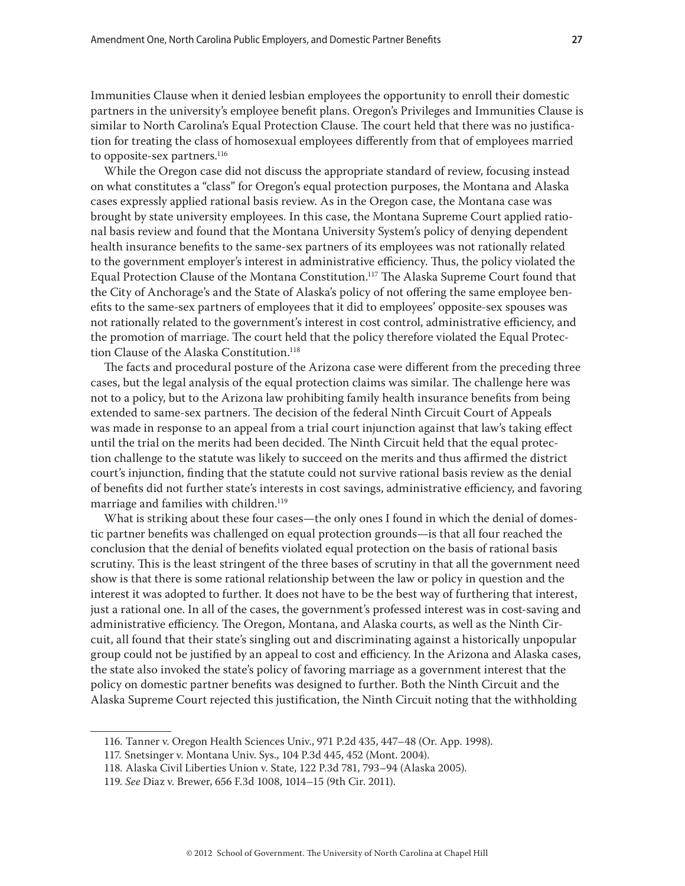Immunities Clause when it denied lesbian employees the opportunity to enroll their domestic partners in the university's employee benefit plans. Oregon's Privileges and Immunities Clause is similar to North Carolina's Equal Protection Clause. The court held that there was no justification for treating the class of homosexual employees differently from that of employees married to opposite-sex partners.<sup>116</sup>

While the Oregon case did not discuss the appropriate standard of review, focusing instead on what constitutes a "class" for Oregon's equal protection purposes, the Montana and Alaska cases expressly applied rational basis review. As in the Oregon case, the Montana case was brought by state university employees. In this case, the Montana Supreme Court applied rational basis review and found that the Montana University System's policy of denying dependent health insurance benefits to the same-sex partners of its employees was not rationally related to the government employer's interest in administrative efficiency. Thus, the policy violated the Equal Protection Clause of the Montana Constitution.117 The Alaska Supreme Court found that the City of Anchorage's and the State of Alaska's policy of not offering the same employee benefits to the same-sex partners of employees that it did to employees' opposite-sex spouses was not rationally related to the government's interest in cost control, administrative efficiency, and the promotion of marriage. The court held that the policy therefore violated the Equal Protection Clause of the Alaska Constitution.<sup>118</sup>

The facts and procedural posture of the Arizona case were different from the preceding three cases, but the legal analysis of the equal protection claims was similar. The challenge here was not to a policy, but to the Arizona law prohibiting family health insurance benefits from being extended to same-sex partners. The decision of the federal Ninth Circuit Court of Appeals was made in response to an appeal from a trial court injunction against that law's taking effect until the trial on the merits had been decided. The Ninth Circuit held that the equal protection challenge to the statute was likely to succeed on the merits and thus affirmed the district court's injunction, finding that the statute could not survive rational basis review as the denial of benefits did not further state's interests in cost savings, administrative efficiency, and favoring marriage and families with children.<sup>119</sup>

What is striking about these four cases—the only ones I found in which the denial of domestic partner benefits was challenged on equal protection grounds—is that all four reached the conclusion that the denial of benefits violated equal protection on the basis of rational basis scrutiny. This is the least stringent of the three bases of scrutiny in that all the government need show is that there is some rational relationship between the law or policy in question and the interest it was adopted to further. It does not have to be the best way of furthering that interest, just a rational one. In all of the cases, the government's professed interest was in cost-saving and administrative efficiency. The Oregon, Montana, and Alaska courts, as well as the Ninth Circuit, all found that their state's singling out and discriminating against a historically unpopular group could not be justified by an appeal to cost and efficiency. In the Arizona and Alaska cases, the state also invoked the state's policy of favoring marriage as a government interest that the policy on domestic partner benefits was designed to further. Both the Ninth Circuit and the Alaska Supreme Court rejected this justification, the Ninth Circuit noting that the withholding

<sup>116</sup>*.* Tanner v. Oregon Health Sciences Univ., 971 P.2d 435, 447–48 (Or. App. 1998).

<sup>117</sup>*.* Snetsinger v. Montana Univ. Sys., 104 P.3d 445, 452 (Mont. 2004).

<sup>118</sup>*.* Alaska Civil Liberties Union v. State, 122 P.3d 781, 793–94 (Alaska 2005).

<sup>119</sup>*. See* Diaz v. Brewer, 656 F.3d 1008, 1014–15 (9th Cir. 2011).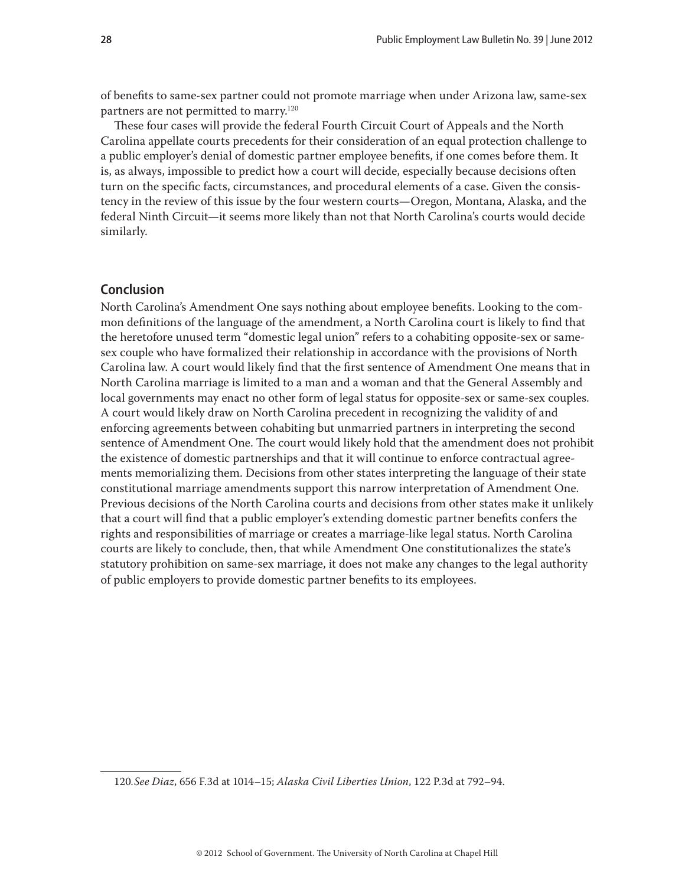of benefits to same-sex partner could not promote marriage when under Arizona law, same-sex partners are not permitted to marry.<sup>120</sup>

These four cases will provide the federal Fourth Circuit Court of Appeals and the North Carolina appellate courts precedents for their consideration of an equal protection challenge to a public employer's denial of domestic partner employee benefits, if one comes before them. It is, as always, impossible to predict how a court will decide, especially because decisions often turn on the specific facts, circumstances, and procedural elements of a case. Given the consistency in the review of this issue by the four western courts—Oregon, Montana, Alaska, and the federal Ninth Circuit—it seems more likely than not that North Carolina's courts would decide similarly.

# **Conclusion**

North Carolina's Amendment One says nothing about employee benefits. Looking to the common definitions of the language of the amendment, a North Carolina court is likely to find that the heretofore unused term "domestic legal union" refers to a cohabiting opposite-sex or samesex couple who have formalized their relationship in accordance with the provisions of North Carolina law. A court would likely find that the first sentence of Amendment One means that in North Carolina marriage is limited to a man and a woman and that the General Assembly and local governments may enact no other form of legal status for opposite-sex or same-sex couples. A court would likely draw on North Carolina precedent in recognizing the validity of and enforcing agreements between cohabiting but unmarried partners in interpreting the second sentence of Amendment One. The court would likely hold that the amendment does not prohibit the existence of domestic partnerships and that it will continue to enforce contractual agreements memorializing them. Decisions from other states interpreting the language of their state constitutional marriage amendments support this narrow interpretation of Amendment One. Previous decisions of the North Carolina courts and decisions from other states make it unlikely that a court will find that a public employer's extending domestic partner benefits confers the rights and responsibilities of marriage or creates a marriage-like legal status. North Carolina courts are likely to conclude, then, that while Amendment One constitutionalizes the state's statutory prohibition on same-sex marriage, it does not make any changes to the legal authority of public employers to provide domestic partner benefits to its employees.

<sup>120</sup>*.See Diaz*, 656 F.3d at 1014–15; *Alaska Civil Liberties Union*, 122 P.3d at 792–94.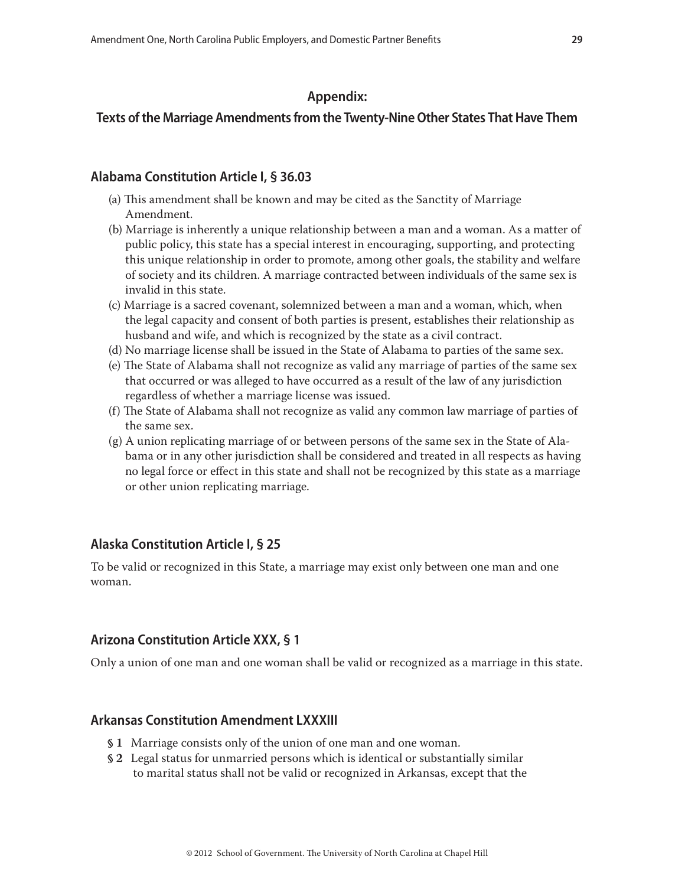# **Appendix:**

# **Texts of the Marriage Amendments from the Twenty-Nine Other States That Have Them**

# **Alabama Constitution Article I, § 36.03**

- (a) This amendment shall be known and may be cited as the Sanctity of Marriage Amendment.
- (b) Marriage is inherently a unique relationship between a man and a woman. As a matter of public policy, this state has a special interest in encouraging, supporting, and protecting this unique relationship in order to promote, among other goals, the stability and welfare of society and its children. A marriage contracted between individuals of the same sex is invalid in this state.
- (c) Marriage is a sacred covenant, solemnized between a man and a woman, which, when the legal capacity and consent of both parties is present, establishes their relationship as husband and wife, and which is recognized by the state as a civil contract.
- (d) No marriage license shall be issued in the State of Alabama to parties of the same sex.
- (e) The State of Alabama shall not recognize as valid any marriage of parties of the same sex that occurred or was alleged to have occurred as a result of the law of any jurisdiction regardless of whether a marriage license was issued.
- (f) The State of Alabama shall not recognize as valid any common law marriage of parties of the same sex.
- (g) A union replicating marriage of or between persons of the same sex in the State of Alabama or in any other jurisdiction shall be considered and treated in all respects as having no legal force or effect in this state and shall not be recognized by this state as a marriage or other union replicating marriage.

# **Alaska Constitution Article I, § 25**

To be valid or recognized in this State, a marriage may exist only between one man and one woman.

# **Arizona Constitution Article XXX, § 1**

Only a union of one man and one woman shall be valid or recognized as a marriage in this state.

# **Arkansas Constitution Amendment LXXXIII**

- **§ 1** Marriage consists only of the union of one man and one woman.
- **§ 2** Legal status for unmarried persons which is identical or substantially similar to marital status shall not be valid or recognized in Arkansas, except that the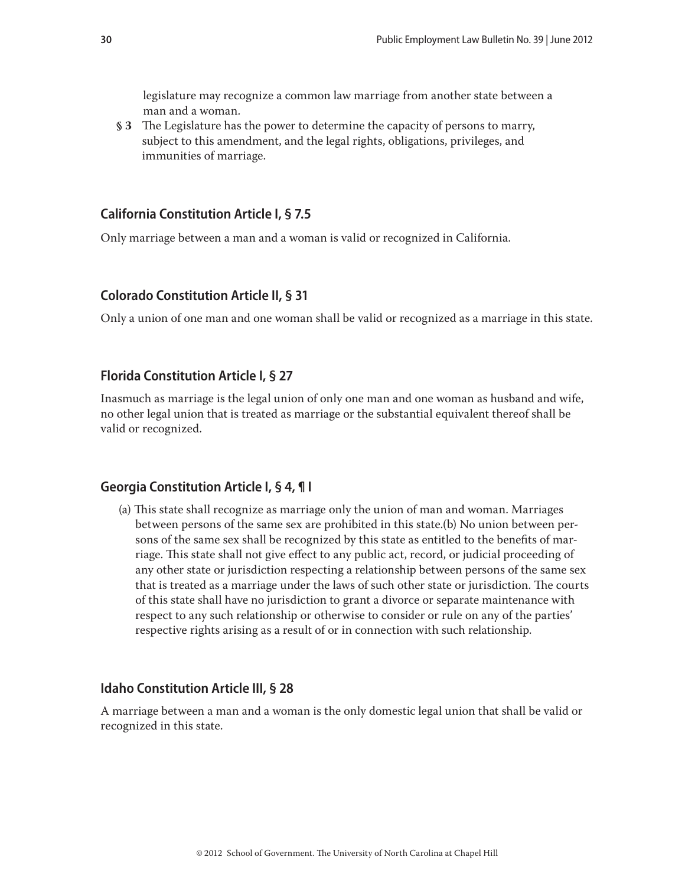legislature may recognize a common law marriage from another state between a man and a woman.

**§ 3** The Legislature has the power to determine the capacity of persons to marry, subject to this amendment, and the legal rights, obligations, privileges, and immunities of marriage.

# **California Constitution Article I, § 7.5**

Only marriage between a man and a woman is valid or recognized in California.

# **Colorado Constitution Article II, § 31**

Only a union of one man and one woman shall be valid or recognized as a marriage in this state.

# **Florida Constitution Article I, § 27**

Inasmuch as marriage is the legal union of only one man and one woman as husband and wife, no other legal union that is treated as marriage or the substantial equivalent thereof shall be valid or recognized.

# **Georgia Constitution Article I, § 4, ¶ I**

(a) This state shall recognize as marriage only the union of man and woman. Marriages between persons of the same sex are prohibited in this state.(b) No union between persons of the same sex shall be recognized by this state as entitled to the benefits of marriage. This state shall not give effect to any public act, record, or judicial proceeding of any other state or jurisdiction respecting a relationship between persons of the same sex that is treated as a marriage under the laws of such other state or jurisdiction. The courts of this state shall have no jurisdiction to grant a divorce or separate maintenance with respect to any such relationship or otherwise to consider or rule on any of the parties' respective rights arising as a result of or in connection with such relationship.

# **Idaho Constitution Article III, § 28**

A marriage between a man and a woman is the only domestic legal union that shall be valid or recognized in this state.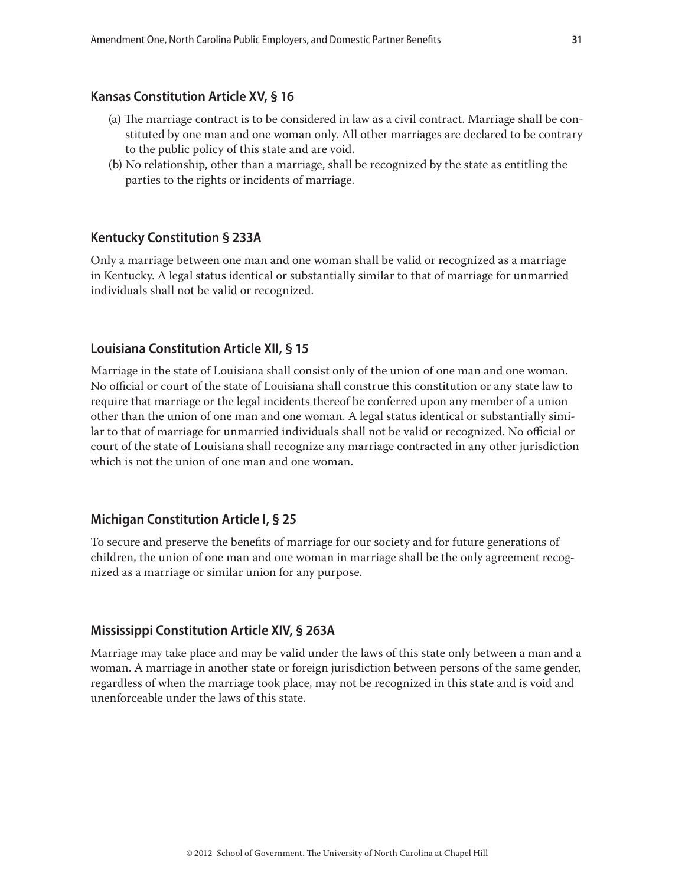# **Kansas Constitution Article XV, § 16**

- (a) The marriage contract is to be considered in law as a civil contract. Marriage shall be constituted by one man and one woman only. All other marriages are declared to be contrary to the public policy of this state and are void.
- (b) No relationship, other than a marriage, shall be recognized by the state as entitling the parties to the rights or incidents of marriage.

# **Kentucky Constitution § 233A**

Only a marriage between one man and one woman shall be valid or recognized as a marriage in Kentucky. A legal status identical or substantially similar to that of marriage for unmarried individuals shall not be valid or recognized.

# **Louisiana Constitution Article XII, § 15**

Marriage in the state of Louisiana shall consist only of the union of one man and one woman. No official or court of the state of Louisiana shall construe this constitution or any state law to require that marriage or the legal incidents thereof be conferred upon any member of a union other than the union of one man and one woman. A legal status identical or substantially similar to that of marriage for unmarried individuals shall not be valid or recognized. No official or court of the state of Louisiana shall recognize any marriage contracted in any other jurisdiction which is not the union of one man and one woman.

# **Michigan Constitution Article I, § 25**

To secure and preserve the benefits of marriage for our society and for future generations of children, the union of one man and one woman in marriage shall be the only agreement recognized as a marriage or similar union for any purpose.

# **Mississippi Constitution Article XIV, § 263A**

Marriage may take place and may be valid under the laws of this state only between a man and a woman. A marriage in another state or foreign jurisdiction between persons of the same gender, regardless of when the marriage took place, may not be recognized in this state and is void and unenforceable under the laws of this state.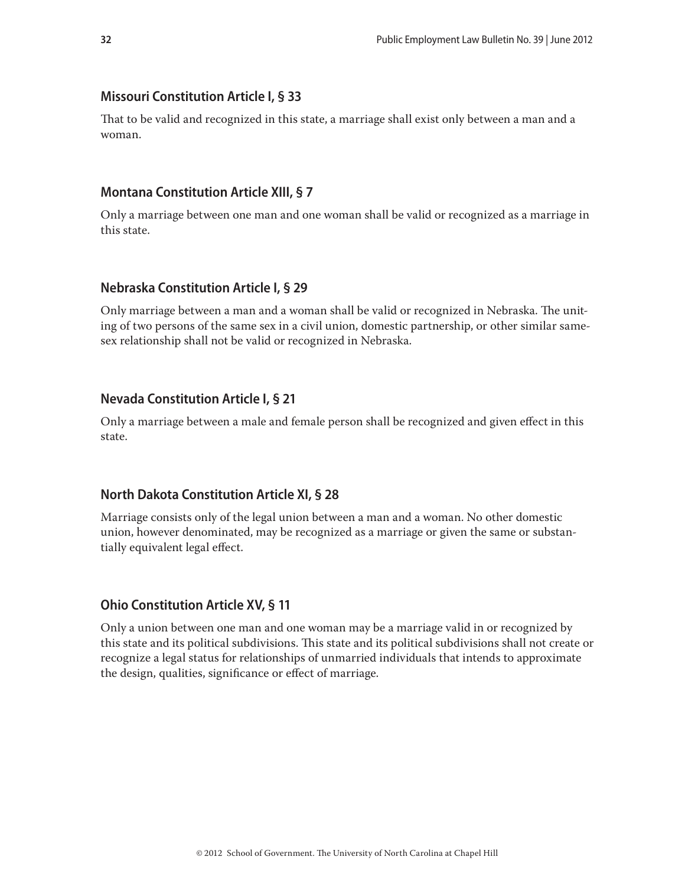# **Missouri Constitution Article I, § 33**

That to be valid and recognized in this state, a marriage shall exist only between a man and a woman.

# **Montana Constitution Article XIII, § 7**

Only a marriage between one man and one woman shall be valid or recognized as a marriage in this state.

# **Nebraska Constitution Article I, § 29**

Only marriage between a man and a woman shall be valid or recognized in Nebraska. The uniting of two persons of the same sex in a civil union, domestic partnership, or other similar samesex relationship shall not be valid or recognized in Nebraska.

# **Nevada Constitution Article I, § 21**

Only a marriage between a male and female person shall be recognized and given effect in this state.

# **North Dakota Constitution Article XI, § 28**

Marriage consists only of the legal union between a man and a woman. No other domestic union, however denominated, may be recognized as a marriage or given the same or substantially equivalent legal effect.

# **Ohio Constitution Article XV, § 11**

Only a union between one man and one woman may be a marriage valid in or recognized by this state and its political subdivisions. This state and its political subdivisions shall not create or recognize a legal status for relationships of unmarried individuals that intends to approximate the design, qualities, significance or effect of marriage.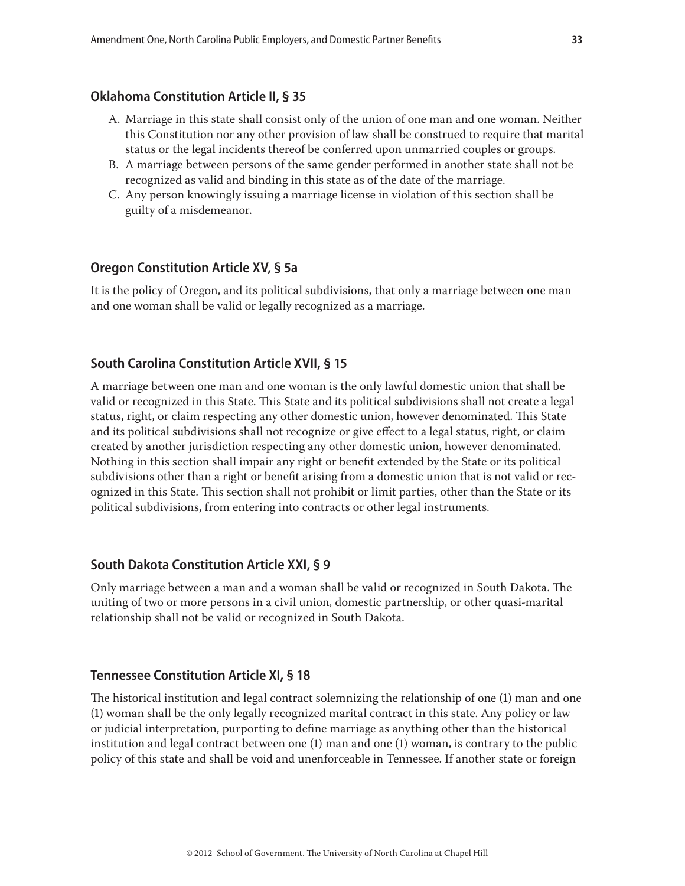# **Oklahoma Constitution Article II, § 35**

- A. Marriage in this state shall consist only of the union of one man and one woman. Neither this Constitution nor any other provision of law shall be construed to require that marital status or the legal incidents thereof be conferred upon unmarried couples or groups.
- B. A marriage between persons of the same gender performed in another state shall not be recognized as valid and binding in this state as of the date of the marriage.
- C. Any person knowingly issuing a marriage license in violation of this section shall be guilty of a misdemeanor.

# **Oregon Constitution Article XV, § 5a**

It is the policy of Oregon, and its political subdivisions, that only a marriage between one man and one woman shall be valid or legally recognized as a marriage.

# **South Carolina Constitution Article XVII, § 15**

A marriage between one man and one woman is the only lawful domestic union that shall be valid or recognized in this State. This State and its political subdivisions shall not create a legal status, right, or claim respecting any other domestic union, however denominated. This State and its political subdivisions shall not recognize or give effect to a legal status, right, or claim created by another jurisdiction respecting any other domestic union, however denominated. Nothing in this section shall impair any right or benefit extended by the State or its political subdivisions other than a right or benefit arising from a domestic union that is not valid or recognized in this State. This section shall not prohibit or limit parties, other than the State or its political subdivisions, from entering into contracts or other legal instruments.

# **South Dakota Constitution Article XXI, § 9**

Only marriage between a man and a woman shall be valid or recognized in South Dakota. The uniting of two or more persons in a civil union, domestic partnership, or other quasi-marital relationship shall not be valid or recognized in South Dakota.

# **Tennessee Constitution Article XI, § 18**

The historical institution and legal contract solemnizing the relationship of one (1) man and one (1) woman shall be the only legally recognized marital contract in this state. Any policy or law or judicial interpretation, purporting to define marriage as anything other than the historical institution and legal contract between one (1) man and one (1) woman, is contrary to the public policy of this state and shall be void and unenforceable in Tennessee. If another state or foreign